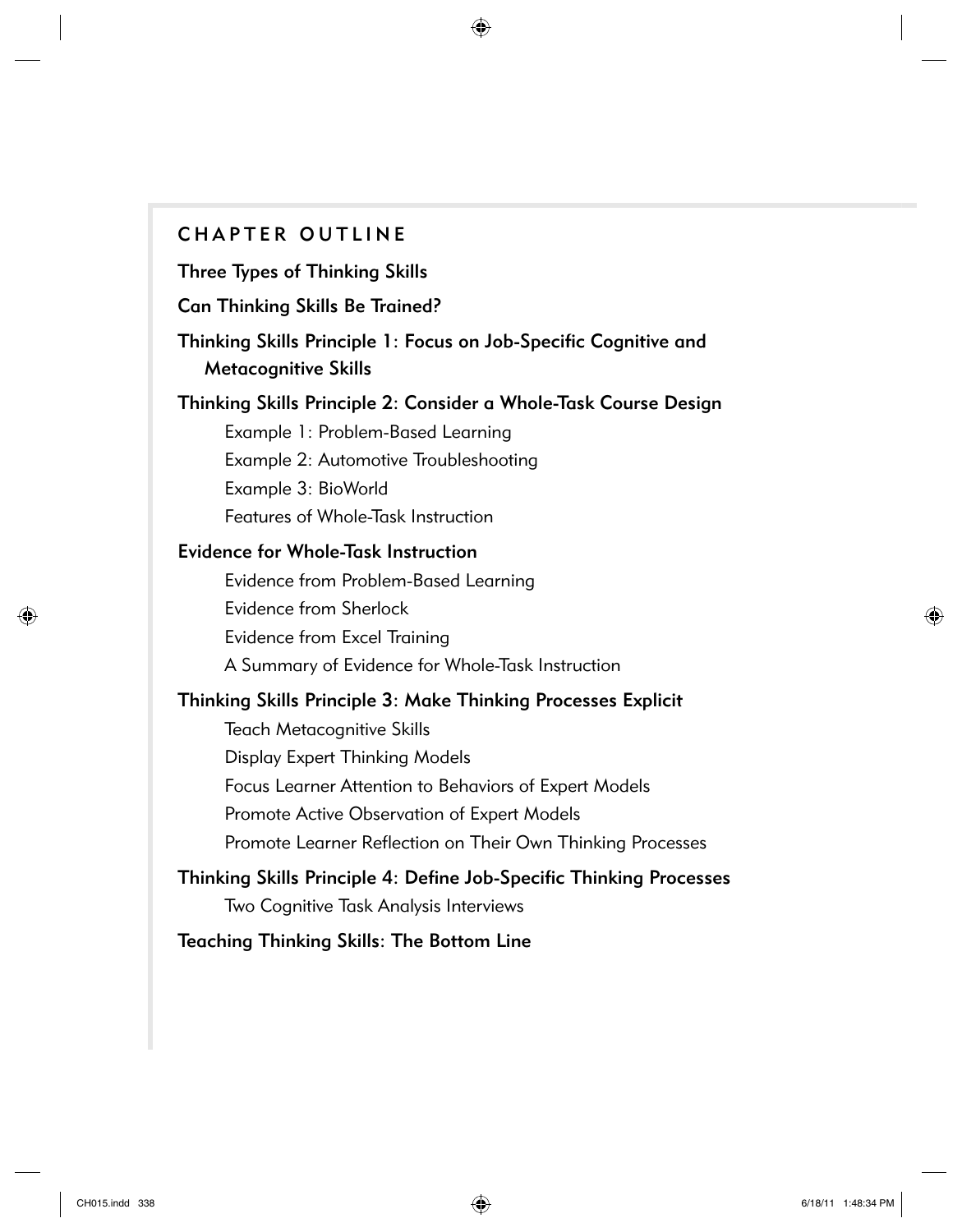## CHAPTER OUTLINE

Three Types of Thinking Skills

Can Thinking Skills Be Trained?

## Thinking Skills Principle 1: Focus on Job-Specific Cognitive and Metacognitive Skills

Thinking Skills Principle 2: Consider a Whole-Task Course Design

Example 1: Problem-Based Learning Example 2: Automotive Troubleshooting Example 3: BioWorld Features of Whole-Task Instruction

#### Evidence for Whole-Task Instruction

Evidence from Problem-Based Learning Evidence from Sherlock Evidence from Excel Training A Summary of Evidence for Whole-Task Instruction

#### Thinking Skills Principle 3: Make Thinking Processes Explicit

Teach Metacognitive Skills Display Expert Thinking Models Focus Learner Attention to Behaviors of Expert Models Promote Active Observation of Expert Models Promote Learner Reflection on Their Own Thinking Processes

#### Thinking Skills Principle 4: Define Job-Specific Thinking Processes

Two Cognitive Task Analysis Interviews

#### Teaching Thinking Skills: The Bottom Line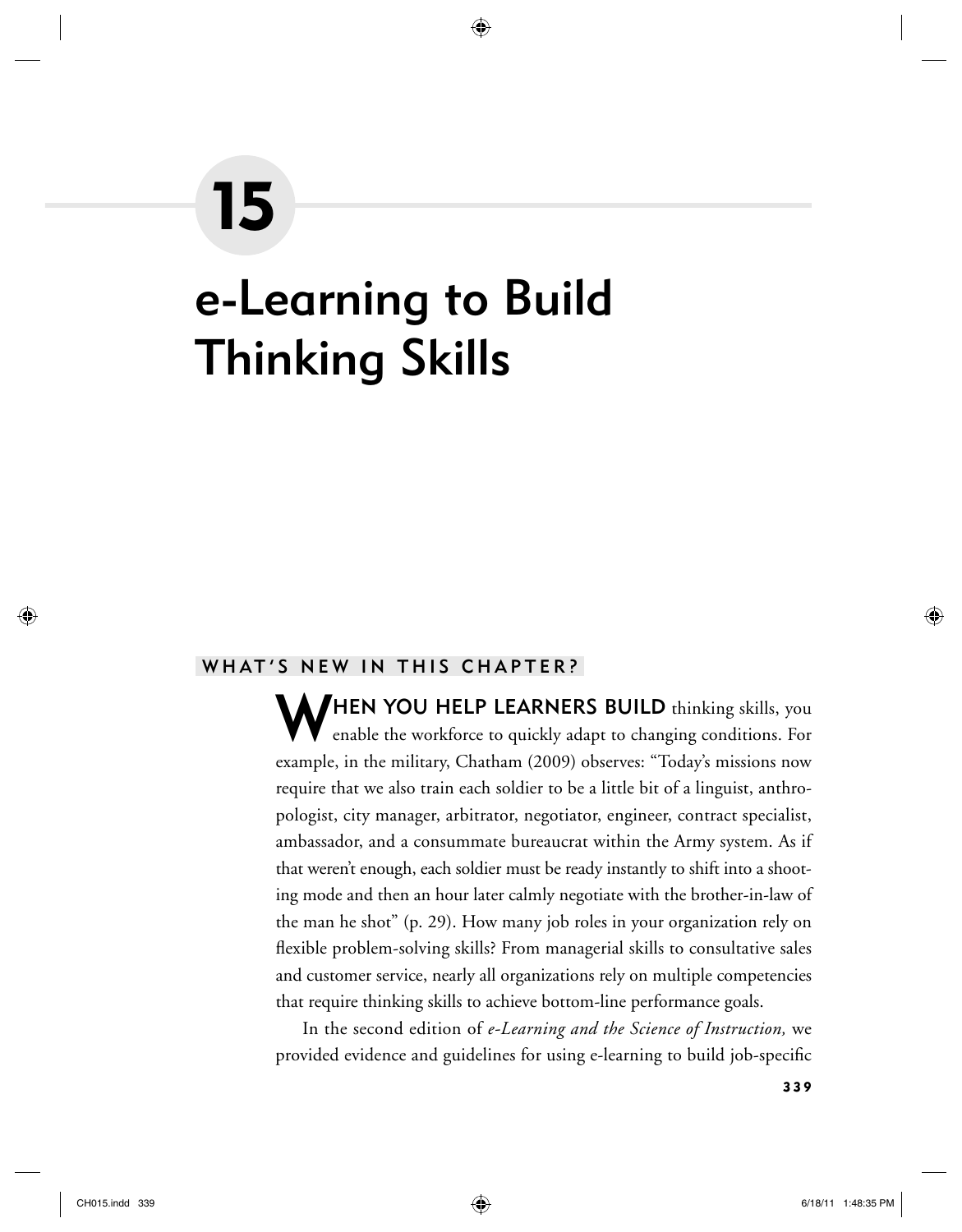# 15 e-Learning to Build Thinking Skills

#### WHAT'S NEW IN THIS CHAPTER?

HEN YOU HELP LEARNERS BUILD thinking skills, you enable the workforce to quickly adapt to changing conditions. For example, in the military, Chatham (2009) observes: "Today's missions now require that we also train each soldier to be a little bit of a linguist, anthropologist, city manager, arbitrator, negotiator, engineer, contract specialist, ambassador, and a consummate bureaucrat within the Army system. As if that weren't enough, each soldier must be ready instantly to shift into a shooting mode and then an hour later calmly negotiate with the brother-in-law of the man he shot" (p. 29). How many job roles in your organization rely on flexible problem-solving skills? From managerial skills to consultative sales and customer service, nearly all organizations rely on multiple competencies that require thinking skills to achieve bottom-line performance goals.

In the second edition of *e-Learning and the Science of Instruction,* we provided evidence and guidelines for using e-learning to build job-specific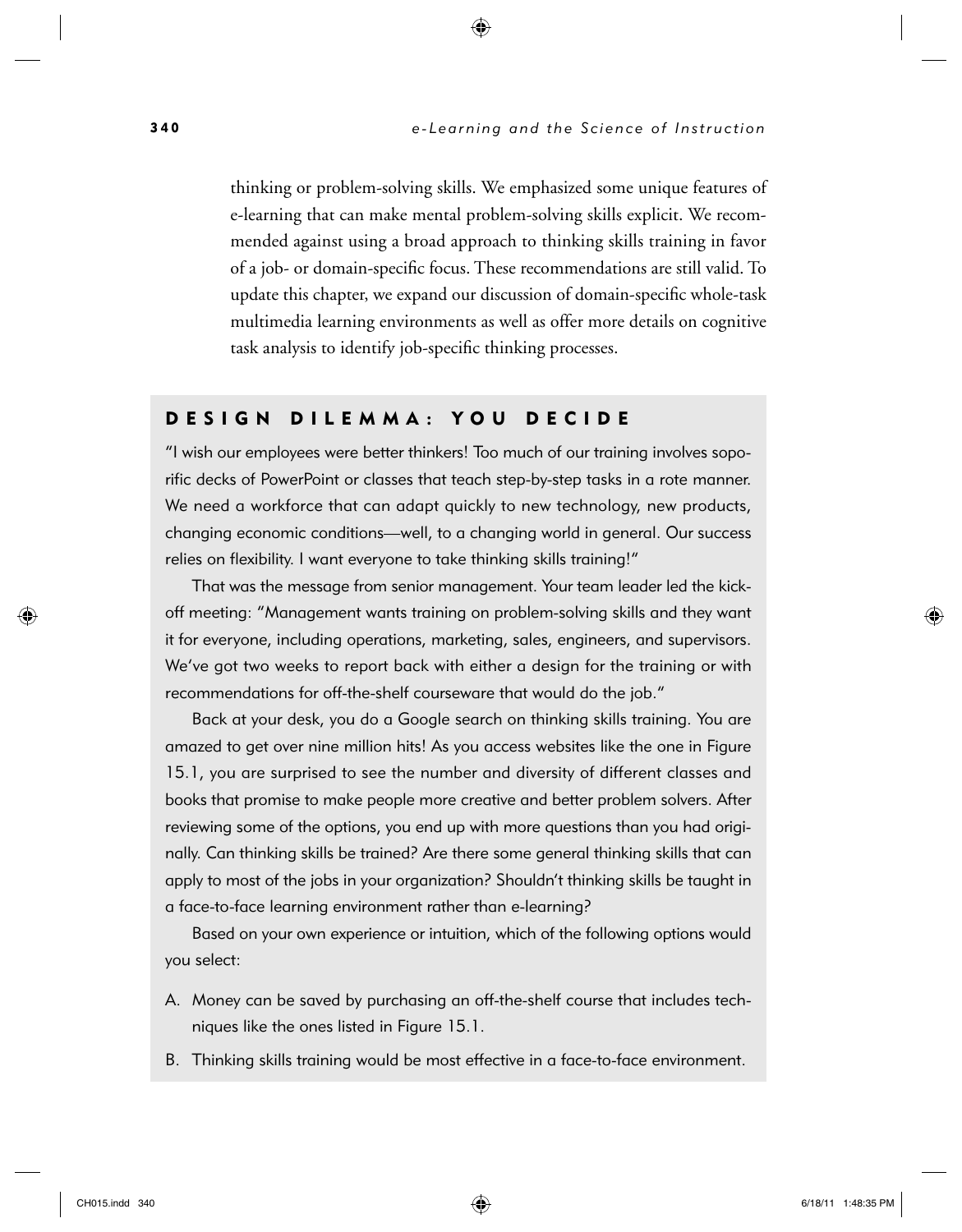thinking or problem-solving skills. We emphasized some unique features of e-learning that can make mental problem-solving skills explicit. We recommended against using a broad approach to thinking skills training in favor of a job- or domain-specific focus. These recommendations are still valid. To update this chapter, we expand our discussion of domain-specific whole-task multimedia learning environments as well as offer more details on cognitive task analysis to identify job-specific thinking processes.

#### DESIGN DILEMMA: YOU DECIDE

"I wish our employees were better thinkers! Too much of our training involves soporific decks of PowerPoint or classes that teach step-by-step tasks in a rote manner. We need a workforce that can adapt quickly to new technology, new products, changing economic conditions—well, to a changing world in general. Our success relies on flexibility. I want everyone to take thinking skills training!"

That was the message from senior management. Your team leader led the kickoff meeting: "Management wants training on problem-solving skills and they want it for everyone, including operations, marketing, sales, engineers, and supervisors. We've got two weeks to report back with either a design for the training or with recommendations for off-the-shelf courseware that would do the job."

Back at your desk, you do a Google search on thinking skills training. You are amazed to get over nine million hits! As you access websites like the one in Figure 15.1, you are surprised to see the number and diversity of different classes and books that promise to make people more creative and better problem solvers. After reviewing some of the options, you end up with more questions than you had originally. Can thinking skills be trained? Are there some general thinking skills that can apply to most of the jobs in your organization? Shouldn't thinking skills be taught in a face-to-face learning environment rather than e-learning?

Based on your own experience or intuition, which of the following options would you select:

- A. Money can be saved by purchasing an off-the-shelf course that includes techniques like the ones listed in Figure 15.1.
- B. Thinking skills training would be most effective in a face-to-face environment.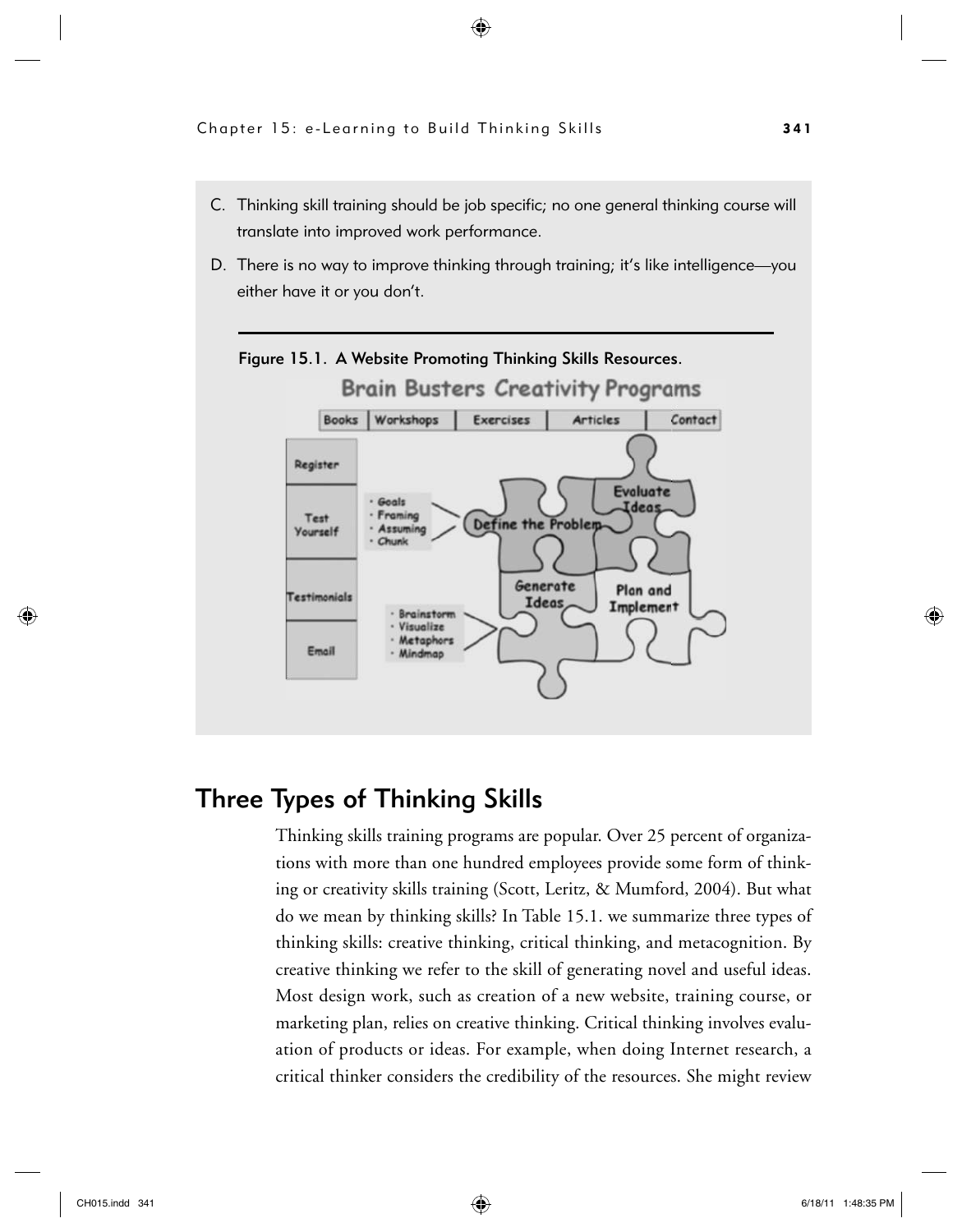- C. Thinking skill training should be job specific; no one general thinking course will translate into improved work performance.
- D. There is no way to improve thinking through training; it's like intelligence—you either have it or you don't.



Figure 15.1. A Website Promoting Thinking Skills Resources.

## Three Types of Thinking Skills

Thinking skills training programs are popular. Over 25 percent of organizations with more than one hundred employees provide some form of thinking or creativity skills training (Scott, Leritz, & Mumford, 2004). But what do we mean by thinking skills? In Table 15.1. we summarize three types of thinking skills: creative thinking, critical thinking, and metacognition. By creative thinking we refer to the skill of generating novel and useful ideas. Most design work, such as creation of a new website, training course, or marketing plan, relies on creative thinking. Critical thinking involves evaluation of products or ideas. For example, when doing Internet research, a critical thinker considers the credibility of the resources. She might review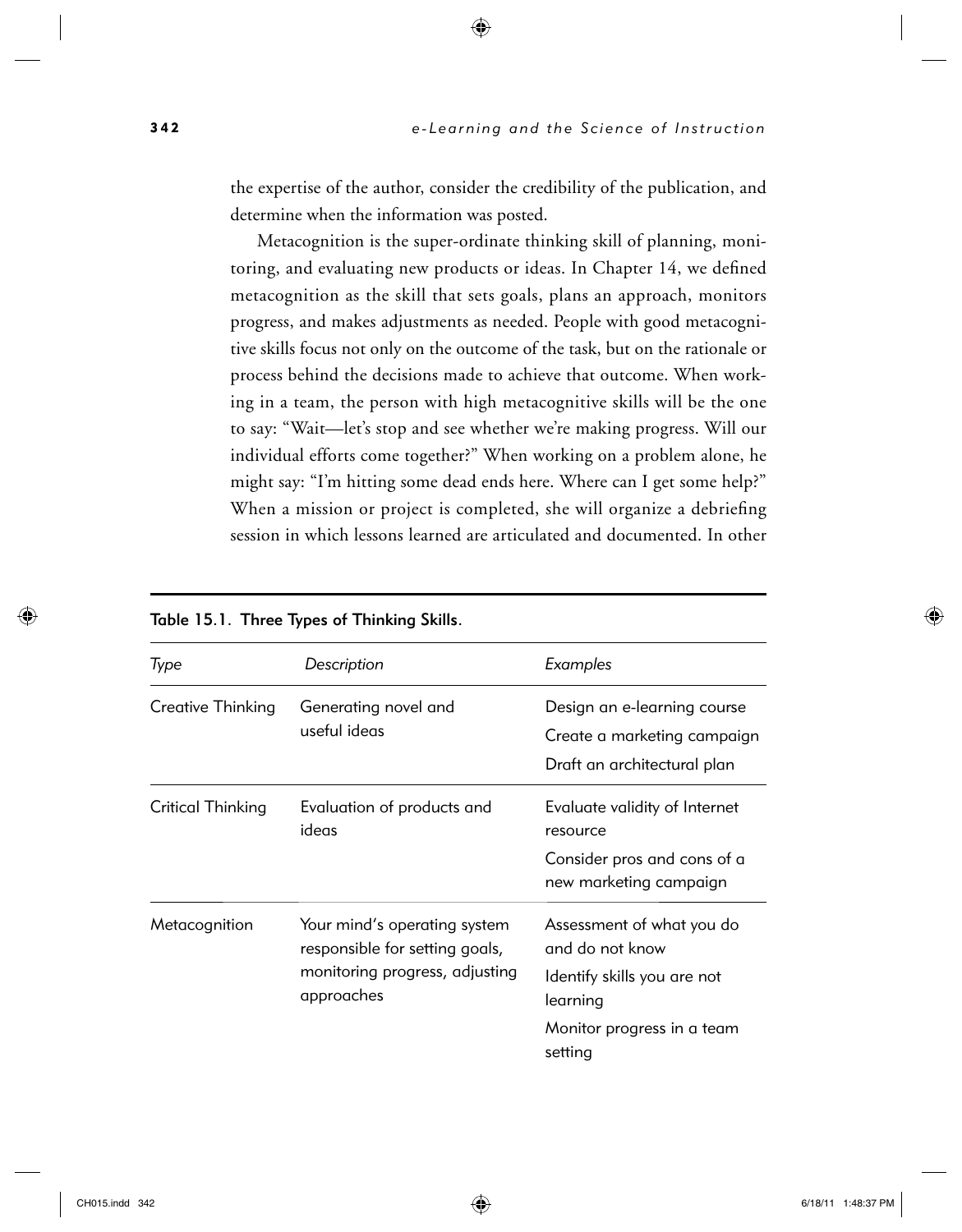the expertise of the author, consider the credibility of the publication, and determine when the information was posted.

Metacognition is the super-ordinate thinking skill of planning, monitoring, and evaluating new products or ideas. In Chapter 14, we defined metacognition as the skill that sets goals, plans an approach, monitors progress, and makes adjustments as needed. People with good metacognitive skills focus not only on the outcome of the task, but on the rationale or process behind the decisions made to achieve that outcome. When working in a team, the person with high metacognitive skills will be the one to say: "Wait—let's stop and see whether we're making progress. Will our individual efforts come together?" When working on a problem alone, he might say: "I'm hitting some dead ends here. Where can I get some help?" When a mission or project is completed, she will organize a debriefing session in which lessons learned are articulated and documented. In other

| lype              | Description                                                                                                    | Examples                                                                                                                         |
|-------------------|----------------------------------------------------------------------------------------------------------------|----------------------------------------------------------------------------------------------------------------------------------|
| Creative Thinking | Generating novel and<br>useful ideas                                                                           | Design an e-learning course<br>Create a marketing campaign<br>Draft an architectural plan                                        |
| Critical Thinking | Evaluation of products and<br>ideas                                                                            | Evaluate validity of Internet<br>resource<br>Consider pros and cons of a<br>new marketing campaign                               |
| Metacognition     | Your mind's operating system<br>responsible for setting goals,<br>monitoring progress, adjusting<br>approaches | Assessment of what you do<br>and do not know<br>Identify skills you are not<br>learning<br>Monitor progress in a team<br>settina |

Table 15.1. Three Types of Thinking Skills.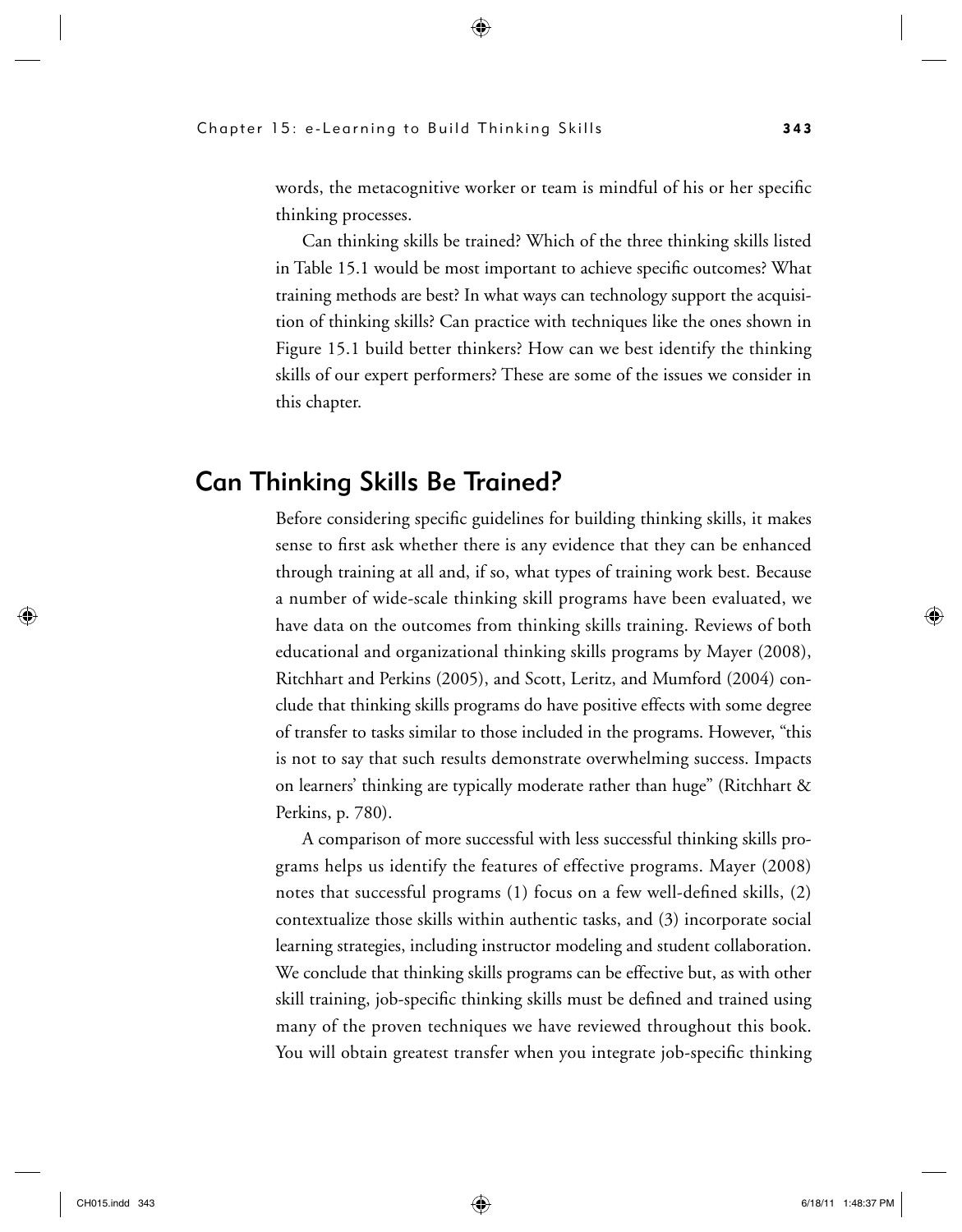words, the metacognitive worker or team is mindful of his or her specific thinking processes.

Can thinking skills be trained? Which of the three thinking skills listed in Table 15.1 would be most important to achieve specific outcomes? What training methods are best? In what ways can technology support the acquisition of thinking skills? Can practice with techniques like the ones shown in Figure 15.1 build better thinkers? How can we best identify the thinking skills of our expert performers? These are some of the issues we consider in this chapter.

## Can Thinking Skills Be Trained?

Before considering specific guidelines for building thinking skills, it makes sense to first ask whether there is any evidence that they can be enhanced through training at all and, if so, what types of training work best. Because a number of wide-scale thinking skill programs have been evaluated, we have data on the outcomes from thinking skills training. Reviews of both educational and organizational thinking skills programs by Mayer (2008), Ritchhart and Perkins (2005), and Scott, Leritz, and Mumford (2004) conclude that thinking skills programs do have positive effects with some degree of transfer to tasks similar to those included in the programs. However, "this is not to say that such results demonstrate overwhelming success. Impacts on learners' thinking are typically moderate rather than huge" (Ritchhart & Perkins, p. 780).

A comparison of more successful with less successful thinking skills programs helps us identify the features of effective programs. Mayer (2008) notes that successful programs  $(1)$  focus on a few well-defined skills,  $(2)$ contextualize those skills within authentic tasks, and (3) incorporate social learning strategies, including instructor modeling and student collaboration. We conclude that thinking skills programs can be effective but, as with other skill training, job-specific thinking skills must be defined and trained using many of the proven techniques we have reviewed throughout this book. You will obtain greatest transfer when you integrate job-specific thinking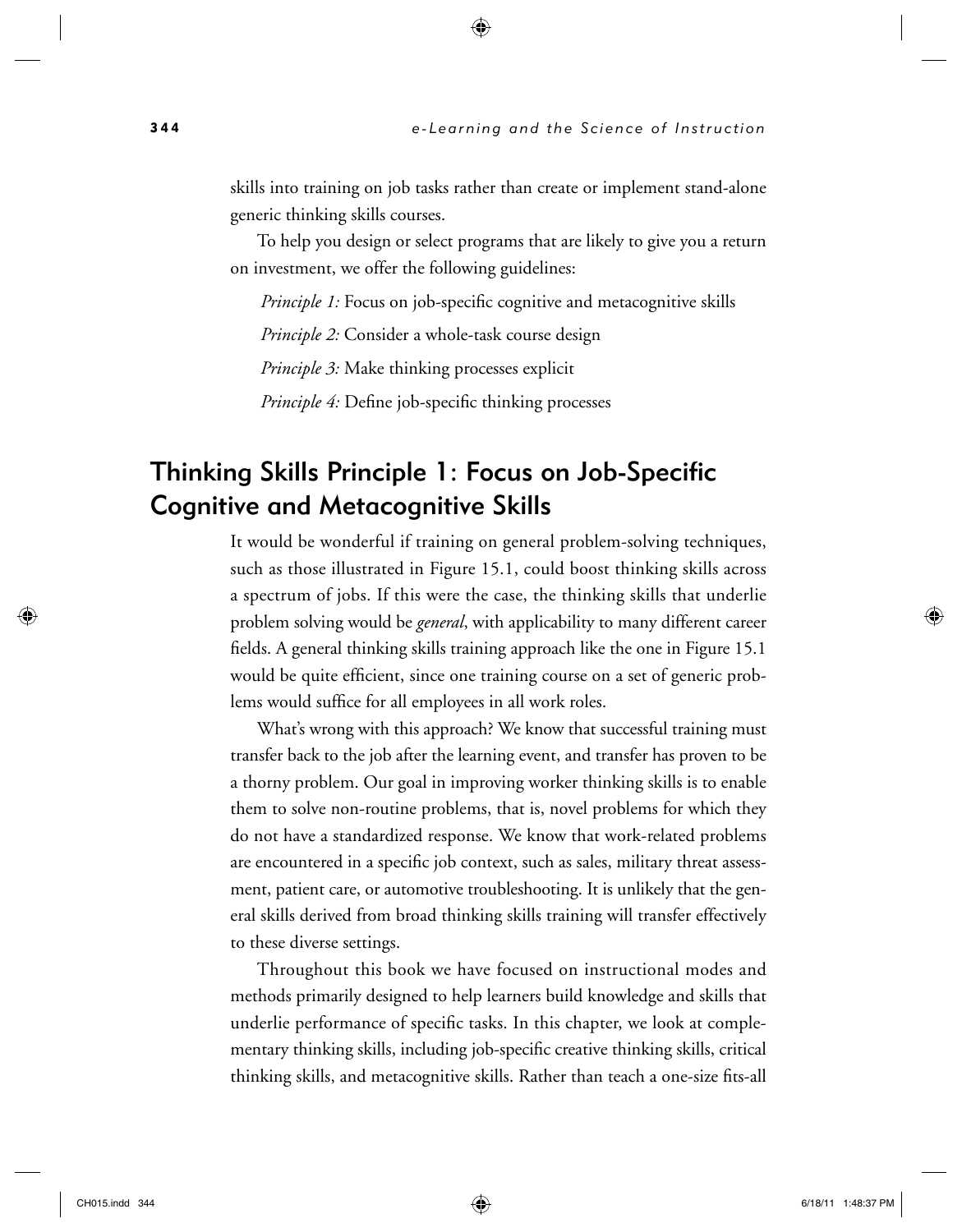skills into training on job tasks rather than create or implement stand-alone generic thinking skills courses.

To help you design or select programs that are likely to give you a return on investment, we offer the following guidelines:

*Principle 1:* Focus on job-specific cognitive and metacognitive skills

*Principle 2:* Consider a whole-task course design

*Principle 3:* Make thinking processes explicit

*Principle 4:* Define job-specific thinking processes

# Thinking Skills Principle 1: Focus on Job-Specific Cognitive and Metacognitive Skills

It would be wonderful if training on general problem-solving techniques, such as those illustrated in Figure 15.1, could boost thinking skills across a spectrum of jobs. If this were the case, the thinking skills that underlie problem solving would be *general*, with applicability to many different career fields. A general thinking skills training approach like the one in Figure 15.1 would be quite efficient, since one training course on a set of generic problems would suffice for all employees in all work roles.

What's wrong with this approach? We know that successful training must transfer back to the job after the learning event, and transfer has proven to be a thorny problem. Our goal in improving worker thinking skills is to enable them to solve non-routine problems, that is, novel problems for which they do not have a standardized response. We know that work-related problems are encountered in a specific job context, such as sales, military threat assessment, patient care, or automotive troubleshooting. It is unlikely that the general skills derived from broad thinking skills training will transfer effectively to these diverse settings.

Throughout this book we have focused on instructional modes and methods primarily designed to help learners build knowledge and skills that underlie performance of specific tasks. In this chapter, we look at complementary thinking skills, including job-specific creative thinking skills, critical thinking skills, and metacognitive skills. Rather than teach a one-size fits-all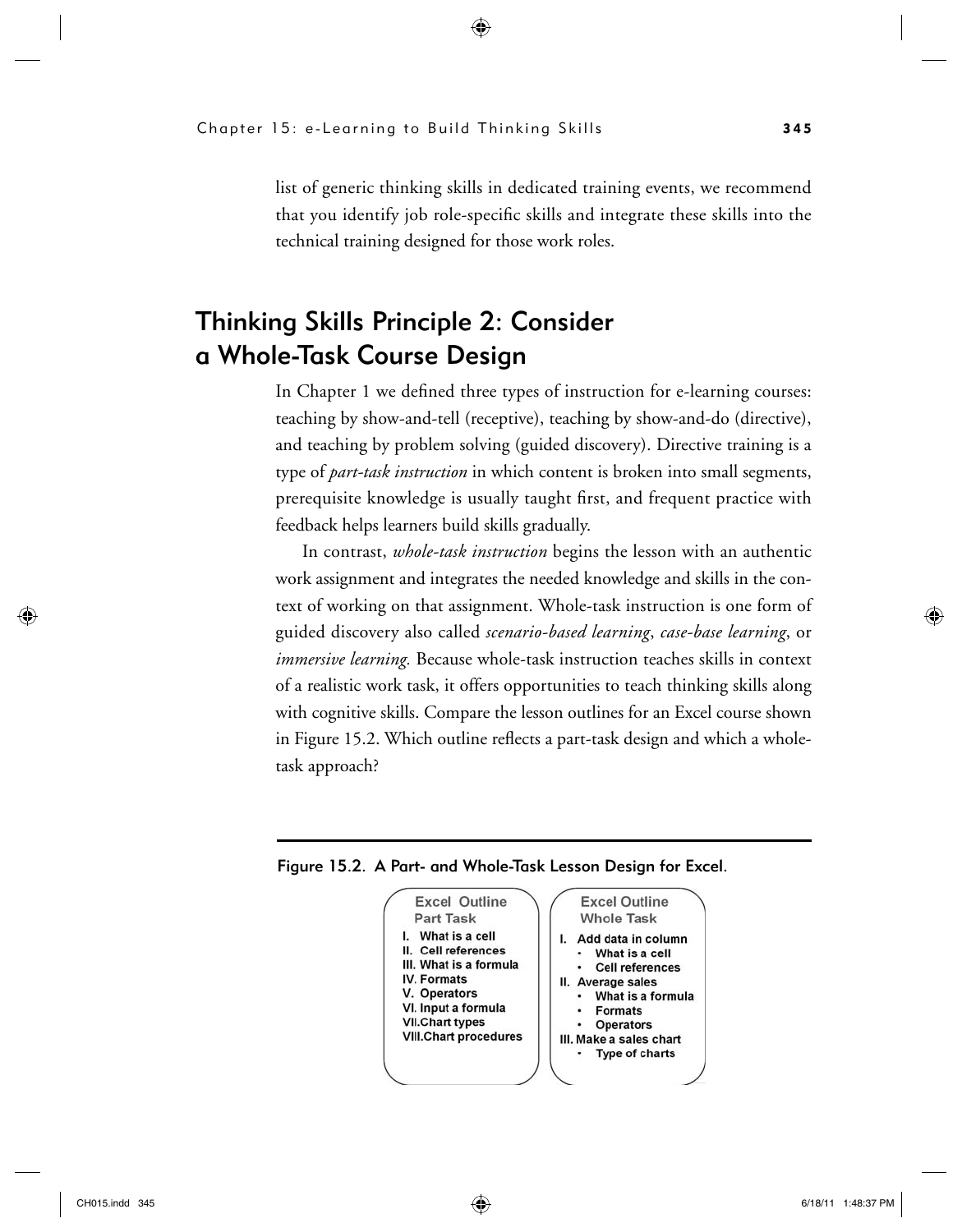list of generic thinking skills in dedicated training events, we recommend that you identify job role-specific skills and integrate these skills into the technical training designed for those work roles.

# Thinking Skills Principle 2: Consider a Whole-Task Course Design

In Chapter 1 we defined three types of instruction for e-learning courses: teaching by show-and-tell (receptive), teaching by show-and-do (directive), and teaching by problem solving (guided discovery). Directive training is a type of *part-task instruction* in which content is broken into small segments, prerequisite knowledge is usually taught first, and frequent practice with feedback helps learners build skills gradually.

In contrast, *whole-task instruction* begins the lesson with an authentic work assignment and integrates the needed knowledge and skills in the context of working on that assignment. Whole-task instruction is one form of guided discovery also called *scenario-based learning*, *case-base learning*, or *immersive learning.* Because whole-task instruction teaches skills in context of a realistic work task, it offers opportunities to teach thinking skills along with cognitive skills. Compare the lesson outlines for an Excel course shown in Figure 15.2. Which outline reflects a part-task design and which a wholetask approach?



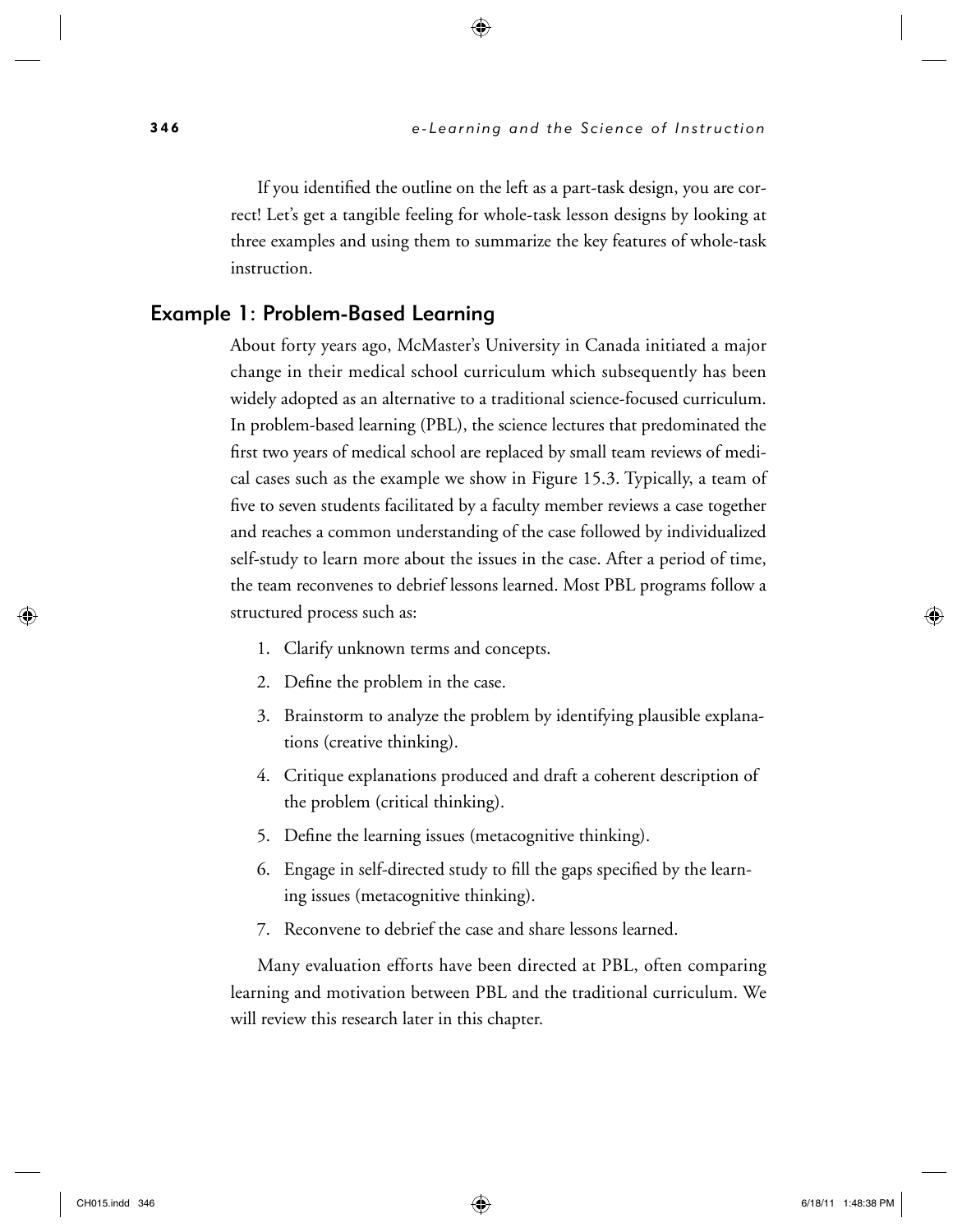If you identified the outline on the left as a part-task design, you are correct! Let's get a tangible feeling for whole-task lesson designs by looking at three examples and using them to summarize the key features of whole-task instruction.

#### Example 1: Problem-Based Learning

About forty years ago, McMaster's University in Canada initiated a major change in their medical school curriculum which subsequently has been widely adopted as an alternative to a traditional science-focused curriculum. In problem-based learning (PBL), the science lectures that predominated the first two years of medical school are replaced by small team reviews of medical cases such as the example we show in Figure 15.3. Typically, a team of five to seven students facilitated by a faculty member reviews a case together and reaches a common understanding of the case followed by individualized self-study to learn more about the issues in the case. After a period of time, the team reconvenes to debrief lessons learned. Most PBL programs follow a structured process such as:

- 1. Clarify unknown terms and concepts.
- 2. Define the problem in the case.
- 3. Brainstorm to analyze the problem by identifying plausible explanations (creative thinking).
- 4. Critique explanations produced and draft a coherent description of the problem (critical thinking).
- 5. Define the learning issues (metacognitive thinking).
- 6. Engage in self-directed study to fill the gaps specified by the learning issues (metacognitive thinking).
- 7. Reconvene to debrief the case and share lessons learned.

Many evaluation efforts have been directed at PBL, often comparing learning and motivation between PBL and the traditional curriculum. We will review this research later in this chapter.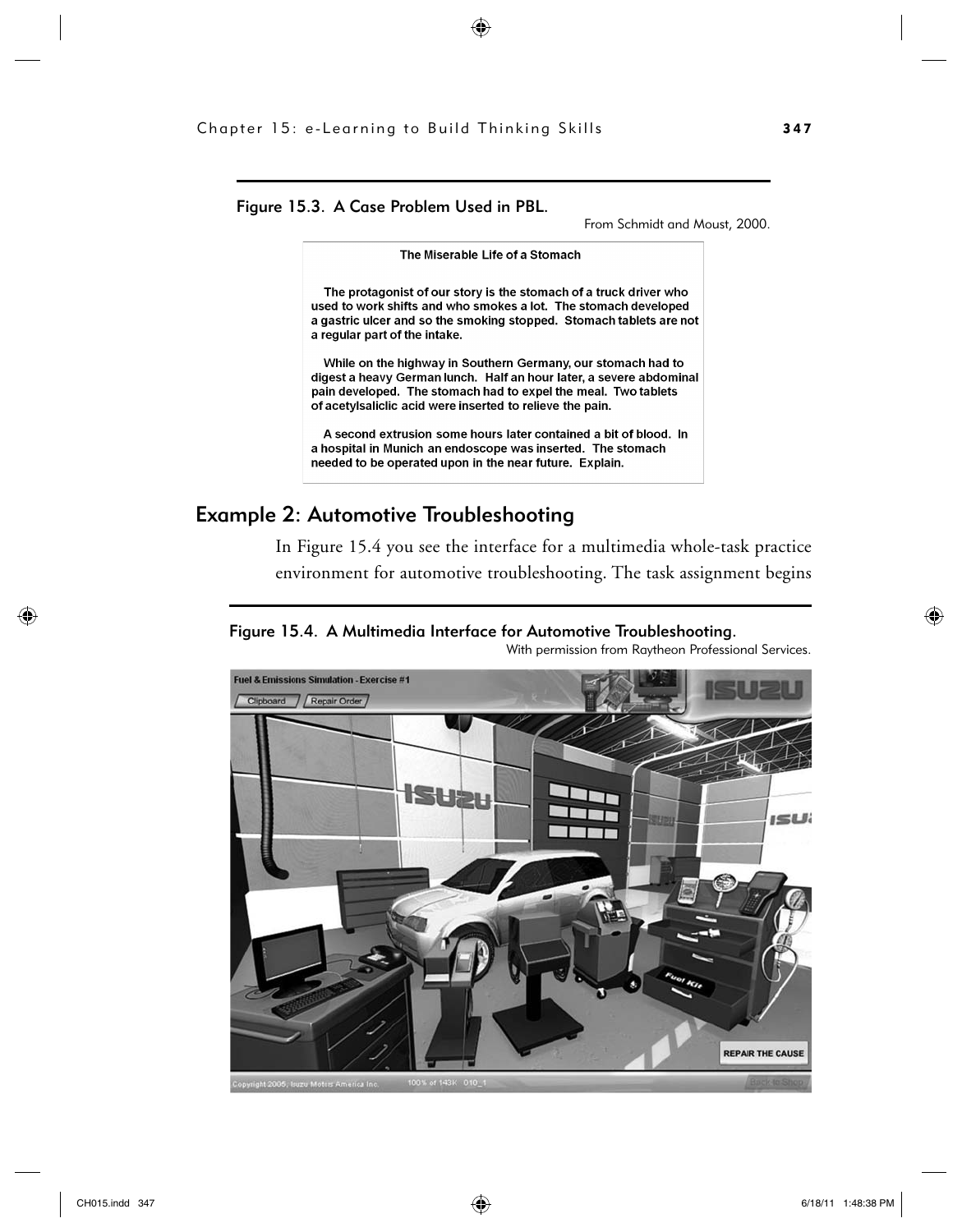Figure 15.3. A Case Problem Used in PBL.

From Schmidt and Moust, 2000.



#### Example 2: Automotive Troubleshooting

In Figure 15.4 you see the interface for a multimedia whole-task practice environment for automotive troubleshooting. The task assignment begins

#### Figure 15.4. A Multimedia Interface for Automotive Troubleshooting.

With permission from Raytheon Professional Services.

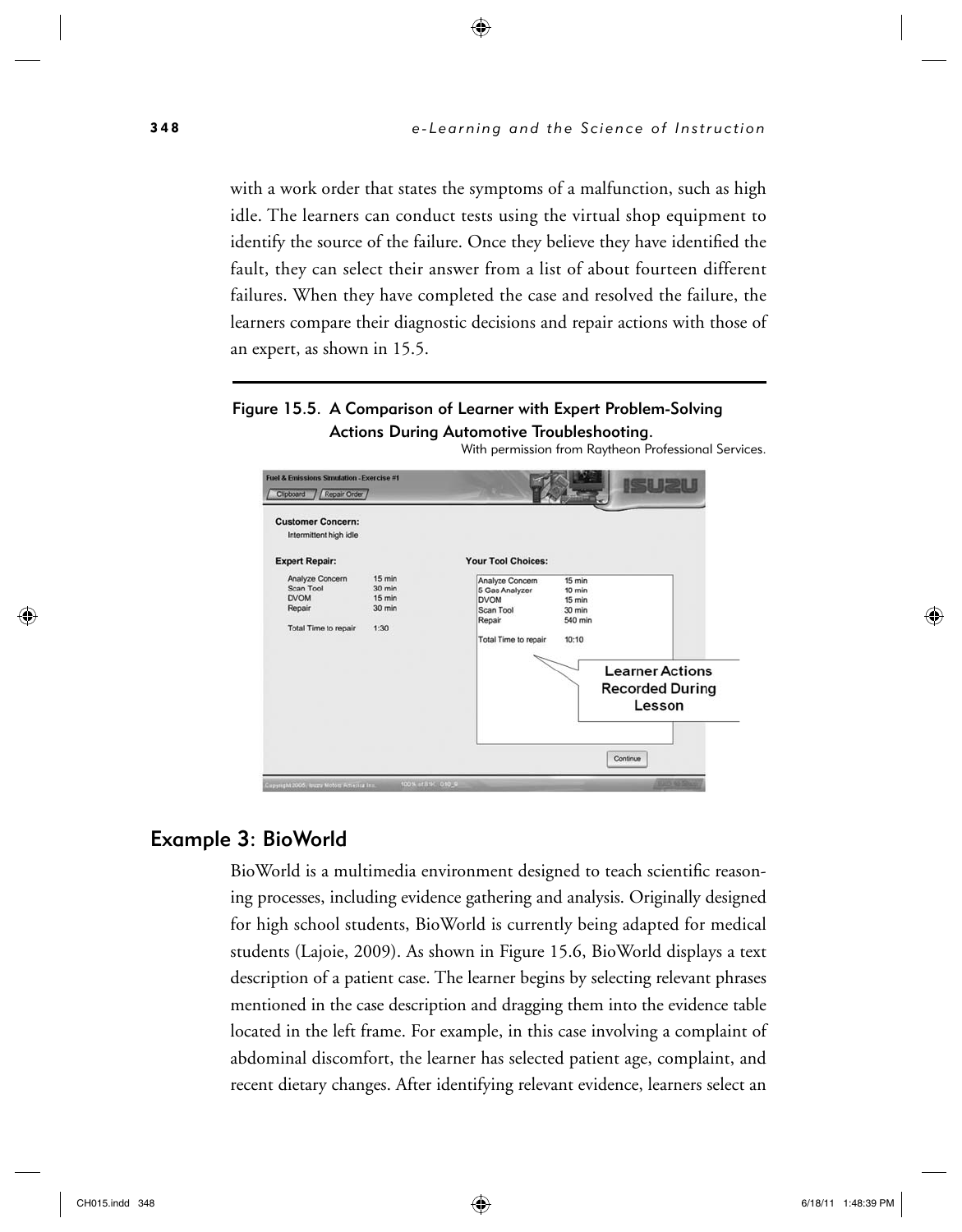with a work order that states the symptoms of a malfunction, such as high idle. The learners can conduct tests using the virtual shop equipment to identify the source of the failure. Once they believe they have identified the fault, they can select their answer from a list of about fourteen different failures. When they have completed the case and resolved the failure, the learners compare their diagnostic decisions and repair actions with those of an expert, as shown in 15.5.

#### Figure 15.5. A Comparison of Learner with Expert Problem-Solving Actions During Automotive Troubleshooting.

With permission from Raytheon Professional Services.



#### Example 3: BioWorld

BioWorld is a multimedia environment designed to teach scientific reasoning processes, including evidence gathering and analysis. Originally designed for high school students, BioWorld is currently being adapted for medical students (Lajoie, 2009). As shown in Figure 15.6, BioWorld displays a text description of a patient case. The learner begins by selecting relevant phrases mentioned in the case description and dragging them into the evidence table located in the left frame. For example, in this case involving a complaint of abdominal discomfort, the learner has selected patient age, complaint, and recent dietary changes. After identifying relevant evidence, learners select an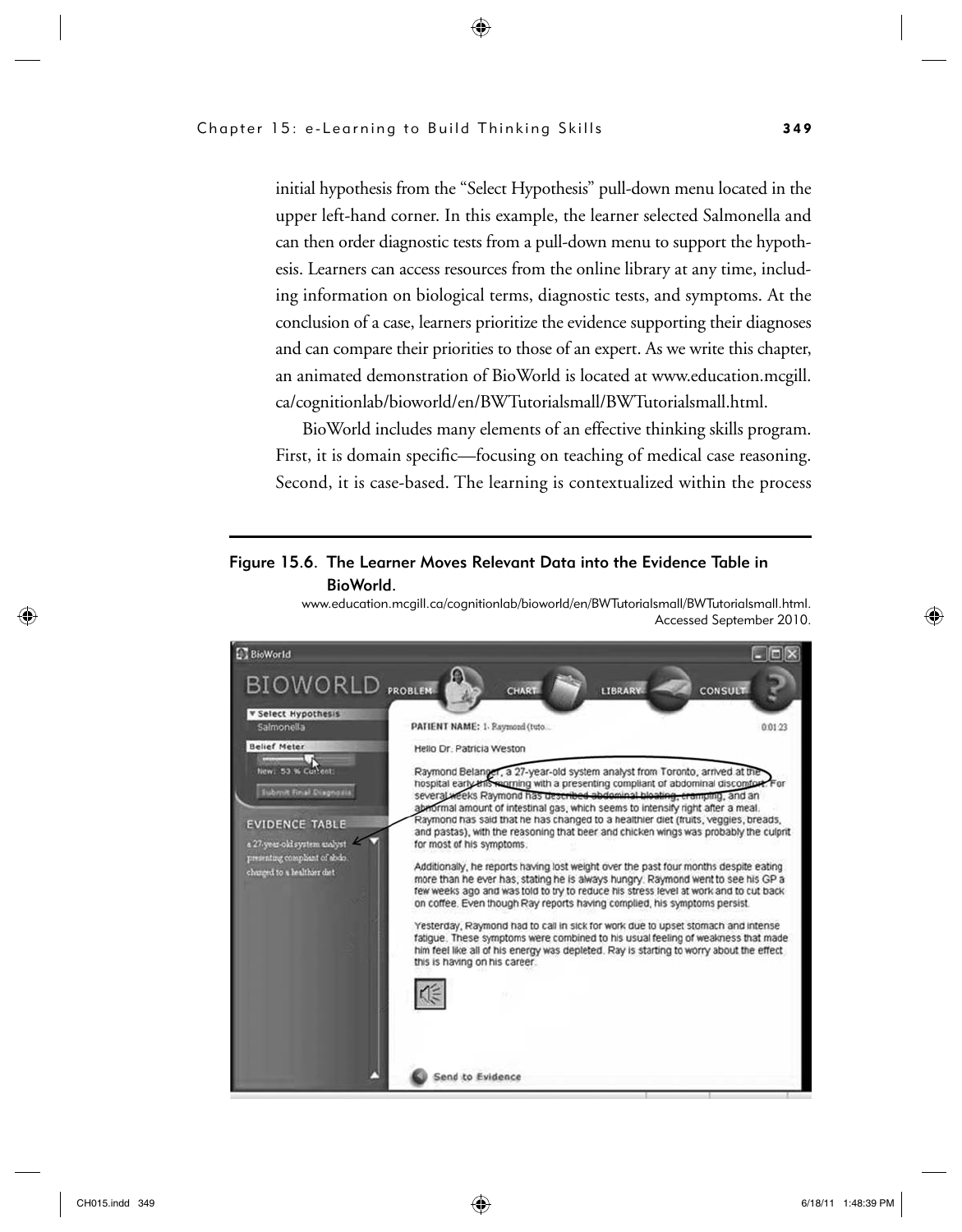initial hypothesis from the "Select Hypothesis" pull-down menu located in the upper left-hand corner. In this example, the learner selected Salmonella and can then order diagnostic tests from a pull-down menu to support the hypothesis. Learners can access resources from the online library at any time, including information on biological terms, diagnostic tests, and symptoms. At the conclusion of a case, learners prioritize the evidence supporting their diagnoses and can compare their priorities to those of an expert. As we write this chapter, an animated demonstration of BioWorld is located at www.education.mcgill. ca/cognitionlab/bioworld/en/BWTutorialsmall/BWTutorialsmall.html.

BioWorld includes many elements of an effective thinking skills program. First, it is domain specific—focusing on teaching of medical case reasoning. Second, it is case-based. The learning is contextualized within the process

#### Figure 15.6. The Learner Moves Relevant Data into the Evidence Table in BioWorld.

www.education.mcgill.ca/cognitionlab/bioworld/en/BWTutorialsmall/BWTutorialsmall.html. Accessed September 2010.

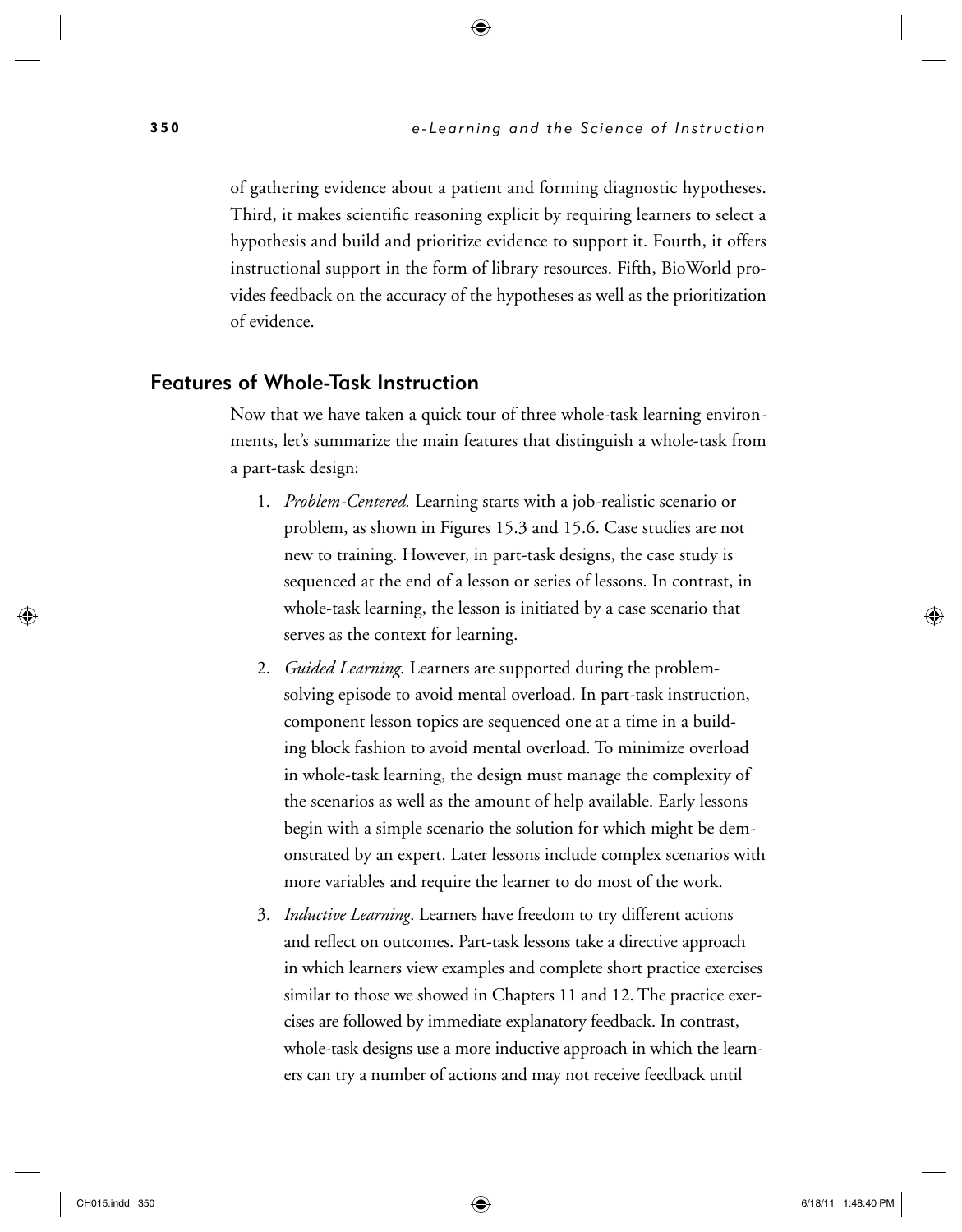of gathering evidence about a patient and forming diagnostic hypotheses. Third, it makes scientific reasoning explicit by requiring learners to select a hypothesis and build and prioritize evidence to support it. Fourth, it offers instructional support in the form of library resources. Fifth, BioWorld provides feedback on the accuracy of the hypotheses as well as the prioritization of evidence.

#### Features of Whole-Task Instruction

Now that we have taken a quick tour of three whole-task learning environments, let's summarize the main features that distinguish a whole-task from a part-task design:

- 1. *Problem-Centered.* Learning starts with a job-realistic scenario or problem, as shown in Figures 15.3 and 15.6. Case studies are not new to training. However, in part-task designs, the case study is sequenced at the end of a lesson or series of lessons. In contrast, in whole-task learning, the lesson is initiated by a case scenario that serves as the context for learning.
- 2. *Guided Learning.* Learners are supported during the problemsolving episode to avoid mental overload. In part-task instruction, component lesson topics are sequenced one at a time in a building block fashion to avoid mental overload. To minimize overload in whole-task learning, the design must manage the complexity of the scenarios as well as the amount of help available. Early lessons begin with a simple scenario the solution for which might be demonstrated by an expert. Later lessons include complex scenarios with more variables and require the learner to do most of the work.
- 3. *Inductive Learning*. Learners have freedom to try different actions and reflect on outcomes. Part-task lessons take a directive approach in which learners view examples and complete short practice exercises similar to those we showed in Chapters 11 and 12. The practice exercises are followed by immediate explanatory feedback. In contrast, whole-task designs use a more inductive approach in which the learners can try a number of actions and may not receive feedback until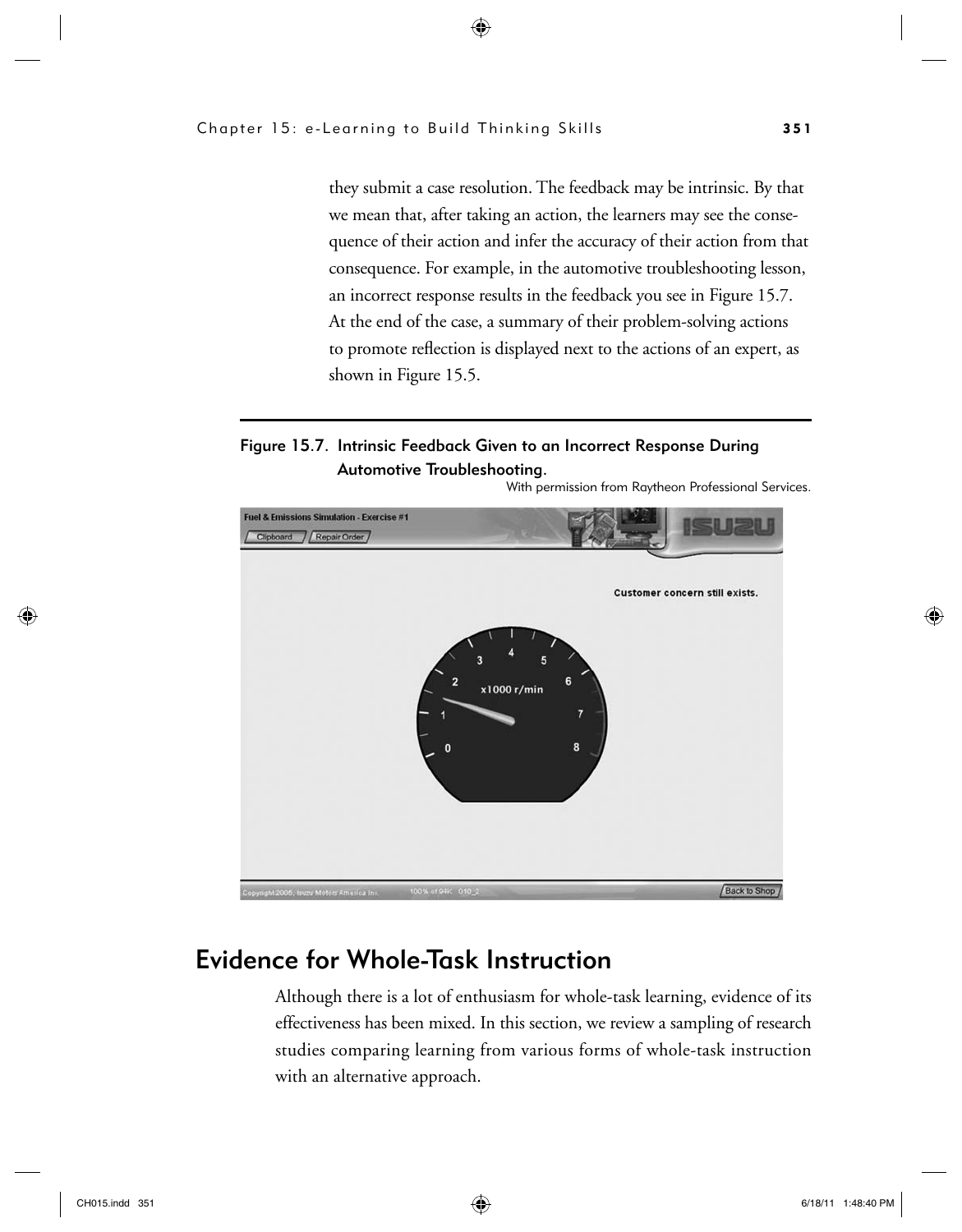they submit a case resolution. The feedback may be intrinsic. By that we mean that, after taking an action, the learners may see the consequence of their action and infer the accuracy of their action from that consequence. For example, in the automotive troubleshooting lesson, an incorrect response results in the feedback you see in Figure 15.7. At the end of the case, a summary of their problem-solving actions to promote reflection is displayed next to the actions of an expert, as shown in Figure 15.5.

#### Figure 15.7. Intrinsic Feedback Given to an Incorrect Response During Automotive Troubleshooting.





## Evidence for Whole-Task Instruction

Although there is a lot of enthusiasm for whole-task learning, evidence of its effectiveness has been mixed. In this section, we review a sampling of research studies comparing learning from various forms of whole-task instruction with an alternative approach.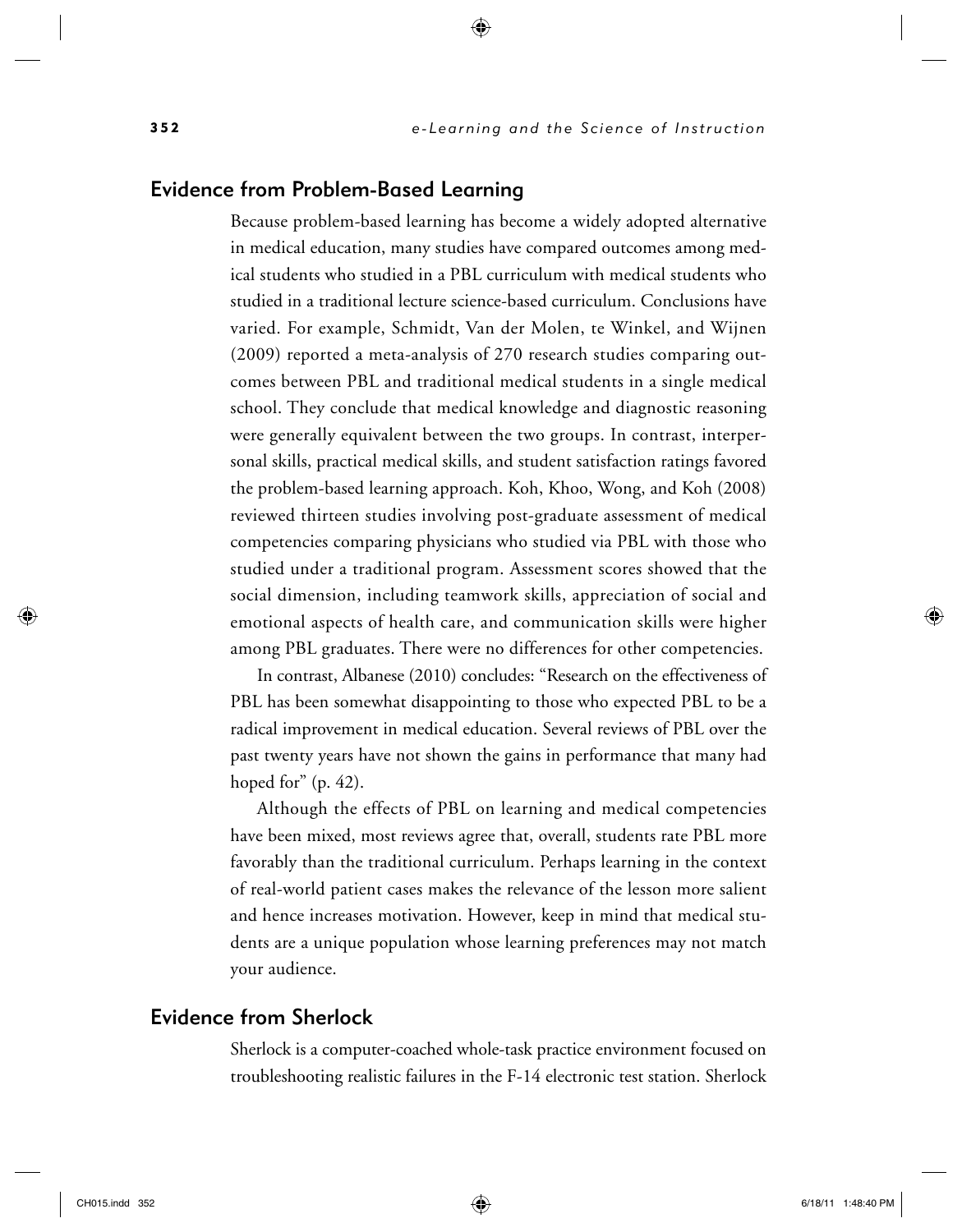#### Evidence from Problem-Based Learning

Because problem-based learning has become a widely adopted alternative in medical education, many studies have compared outcomes among medical students who studied in a PBL curriculum with medical students who studied in a traditional lecture science-based curriculum. Conclusions have varied. For example, Schmidt, Van der Molen, te Winkel, and Wijnen (2009) reported a meta-analysis of 270 research studies comparing outcomes between PBL and traditional medical students in a single medical school. They conclude that medical knowledge and diagnostic reasoning were generally equivalent between the two groups. In contrast, interpersonal skills, practical medical skills, and student satisfaction ratings favored the problem-based learning approach. Koh, Khoo, Wong, and Koh (2008) reviewed thirteen studies involving post-graduate assessment of medical competencies comparing physicians who studied via PBL with those who studied under a traditional program. Assessment scores showed that the social dimension, including teamwork skills, appreciation of social and emotional aspects of health care, and communication skills were higher among PBL graduates. There were no differences for other competencies.

In contrast, Albanese (2010) concludes: "Research on the effectiveness of PBL has been somewhat disappointing to those who expected PBL to be a radical improvement in medical education. Several reviews of PBL over the past twenty years have not shown the gains in performance that many had hoped for"  $(p. 42)$ .

Although the effects of PBL on learning and medical competencies have been mixed, most reviews agree that, overall, students rate PBL more favorably than the traditional curriculum. Perhaps learning in the context of real-world patient cases makes the relevance of the lesson more salient and hence increases motivation. However, keep in mind that medical students are a unique population whose learning preferences may not match your audience.

#### Evidence from Sherlock

Sherlock is a computer-coached whole-task practice environment focused on troubleshooting realistic failures in the F-14 electronic test station. Sherlock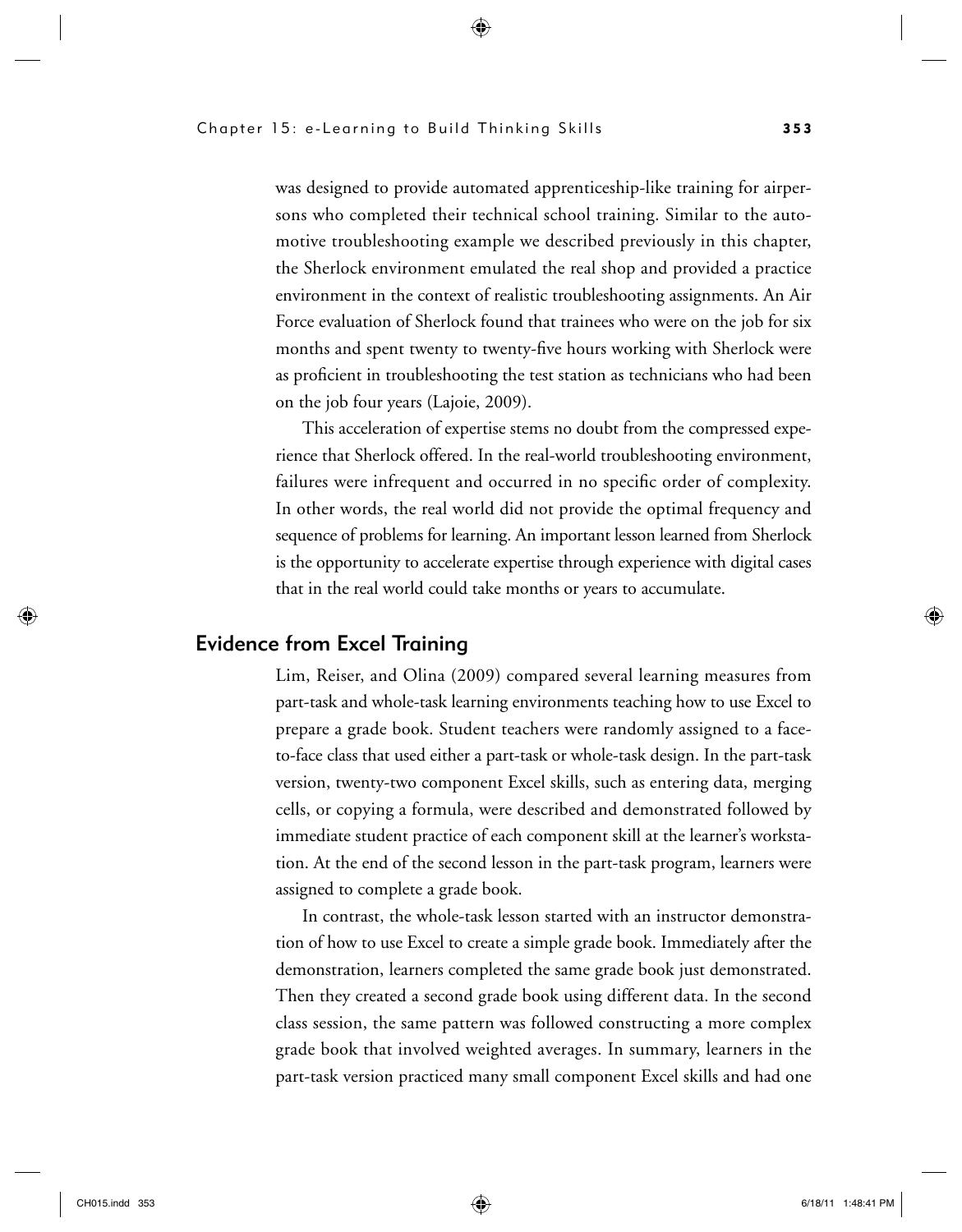was designed to provide automated apprenticeship-like training for airpersons who completed their technical school training. Similar to the automotive troubleshooting example we described previously in this chapter, the Sherlock environment emulated the real shop and provided a practice environment in the context of realistic troubleshooting assignments. An Air Force evaluation of Sherlock found that trainees who were on the job for six months and spent twenty to twenty-five hours working with Sherlock were as proficient in troubleshooting the test station as technicians who had been on the job four years (Lajoie, 2009).

This acceleration of expertise stems no doubt from the compressed experience that Sherlock offered. In the real-world troubleshooting environment, failures were infrequent and occurred in no specific order of complexity. In other words, the real world did not provide the optimal frequency and sequence of problems for learning. An important lesson learned from Sherlock is the opportunity to accelerate expertise through experience with digital cases that in the real world could take months or years to accumulate.

#### Evidence from Excel Training

Lim, Reiser, and Olina (2009) compared several learning measures from part-task and whole-task learning environments teaching how to use Excel to prepare a grade book. Student teachers were randomly assigned to a faceto-face class that used either a part-task or whole-task design. In the part-task version, twenty-two component Excel skills, such as entering data, merging cells, or copying a formula, were described and demonstrated followed by immediate student practice of each component skill at the learner's workstation. At the end of the second lesson in the part-task program, learners were assigned to complete a grade book.

In contrast, the whole-task lesson started with an instructor demonstration of how to use Excel to create a simple grade book. Immediately after the demonstration, learners completed the same grade book just demonstrated. Then they created a second grade book using different data. In the second class session, the same pattern was followed constructing a more complex grade book that involved weighted averages. In summary, learners in the part-task version practiced many small component Excel skills and had one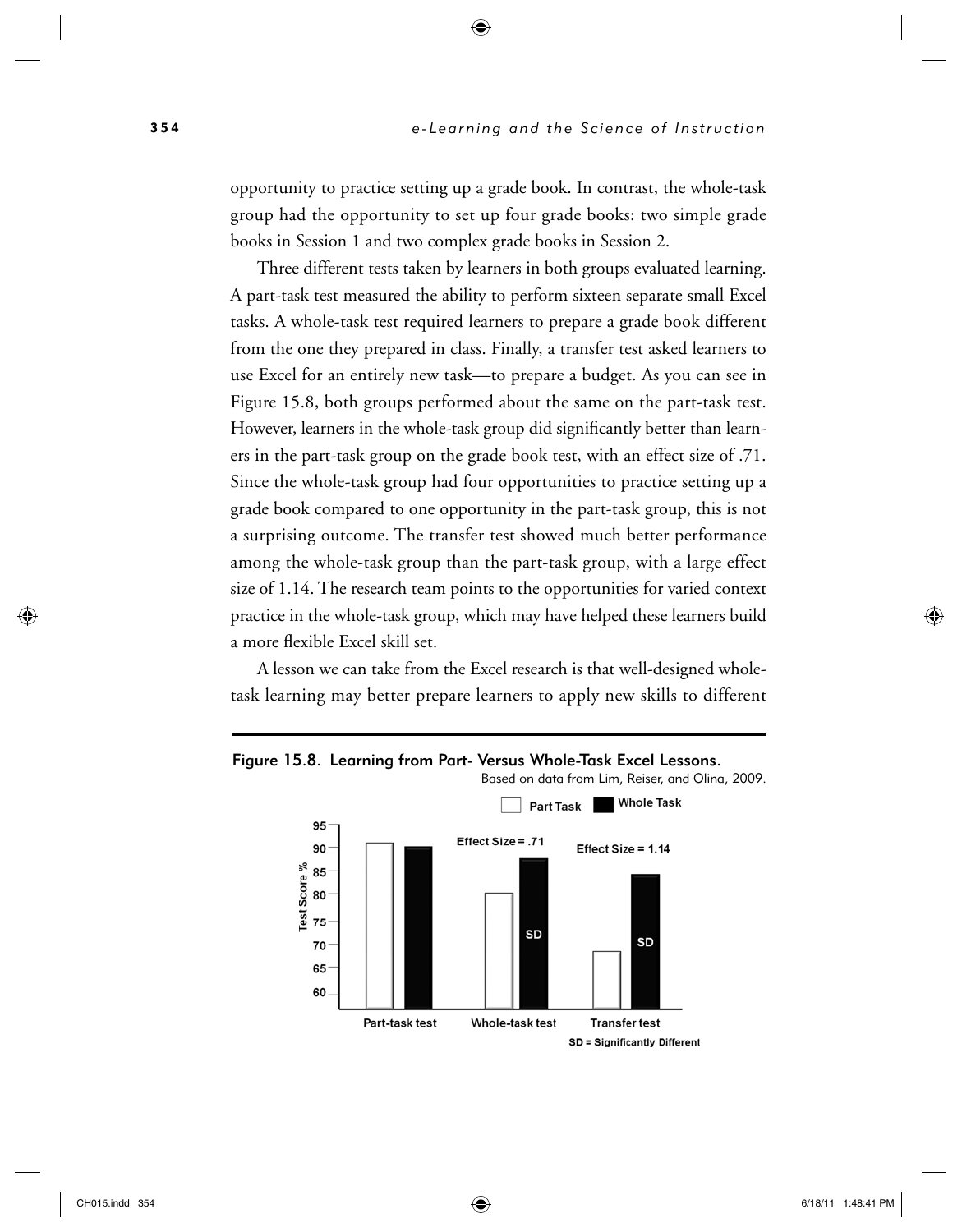opportunity to practice setting up a grade book. In contrast, the whole-task group had the opportunity to set up four grade books: two simple grade books in Session 1 and two complex grade books in Session 2.

Three different tests taken by learners in both groups evaluated learning. A part-task test measured the ability to perform sixteen separate small Excel tasks. A whole-task test required learners to prepare a grade book different from the one they prepared in class. Finally, a transfer test asked learners to use Excel for an entirely new task—to prepare a budget. As you can see in Figure 15.8, both groups performed about the same on the part-task test. However, learners in the whole-task group did significantly better than learners in the part-task group on the grade book test, with an effect size of .71. Since the whole-task group had four opportunities to practice setting up a grade book compared to one opportunity in the part-task group, this is not a surprising outcome. The transfer test showed much better performance among the whole-task group than the part-task group, with a large effect size of 1.14. The research team points to the opportunities for varied context practice in the whole-task group, which may have helped these learners build a more flexible Excel skill set.

A lesson we can take from the Excel research is that well-designed wholetask learning may better prepare learners to apply new skills to different



Figure 15.8. Learning from Part- Versus Whole-Task Excel Lessons.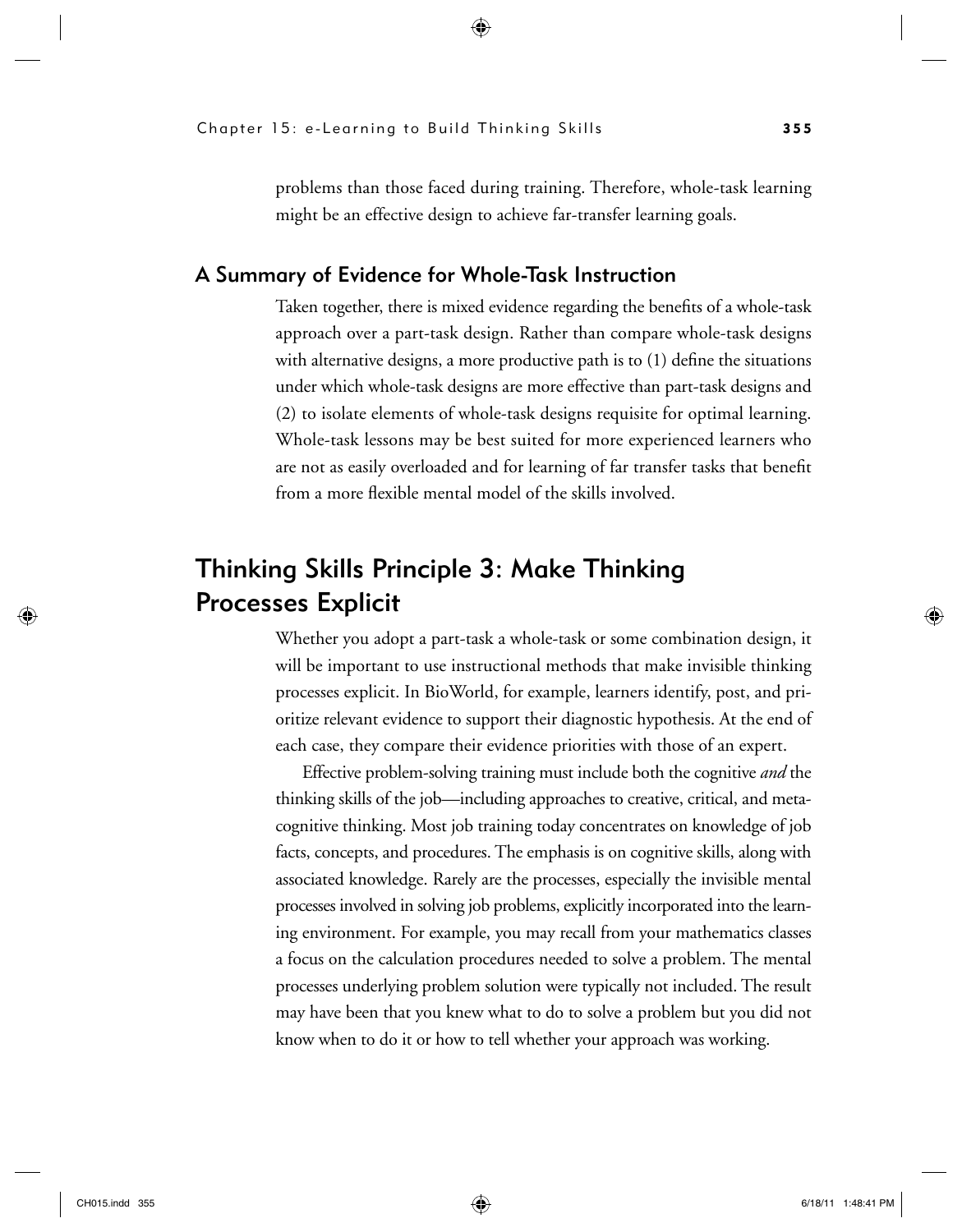problems than those faced during training. Therefore, whole-task learning might be an effective design to achieve far-transfer learning goals.

#### A Summary of Evidence for Whole-Task Instruction

Taken together, there is mixed evidence regarding the benefits of a whole-task approach over a part-task design. Rather than compare whole-task designs with alternative designs, a more productive path is to  $(1)$  define the situations under which whole-task designs are more effective than part-task designs and (2) to isolate elements of whole-task designs requisite for optimal learning. Whole-task lessons may be best suited for more experienced learners who are not as easily overloaded and for learning of far transfer tasks that benefit from a more flexible mental model of the skills involved.

# Thinking Skills Principle 3: Make Thinking Processes Explicit

Whether you adopt a part-task a whole-task or some combination design, it will be important to use instructional methods that make invisible thinking processes explicit. In BioWorld, for example, learners identify, post, and prioritize relevant evidence to support their diagnostic hypothesis. At the end of each case, they compare their evidence priorities with those of an expert.

Effective problem-solving training must include both the cognitive *and* the thinking skills of the job—including approaches to creative, critical, and metacognitive thinking. Most job training today concentrates on knowledge of job facts, concepts, and procedures. The emphasis is on cognitive skills, along with associated knowledge. Rarely are the processes, especially the invisible mental processes involved in solving job problems, explicitly incorporated into the learning environment. For example, you may recall from your mathematics classes a focus on the calculation procedures needed to solve a problem. The mental processes underlying problem solution were typically not included. The result may have been that you knew what to do to solve a problem but you did not know when to do it or how to tell whether your approach was working.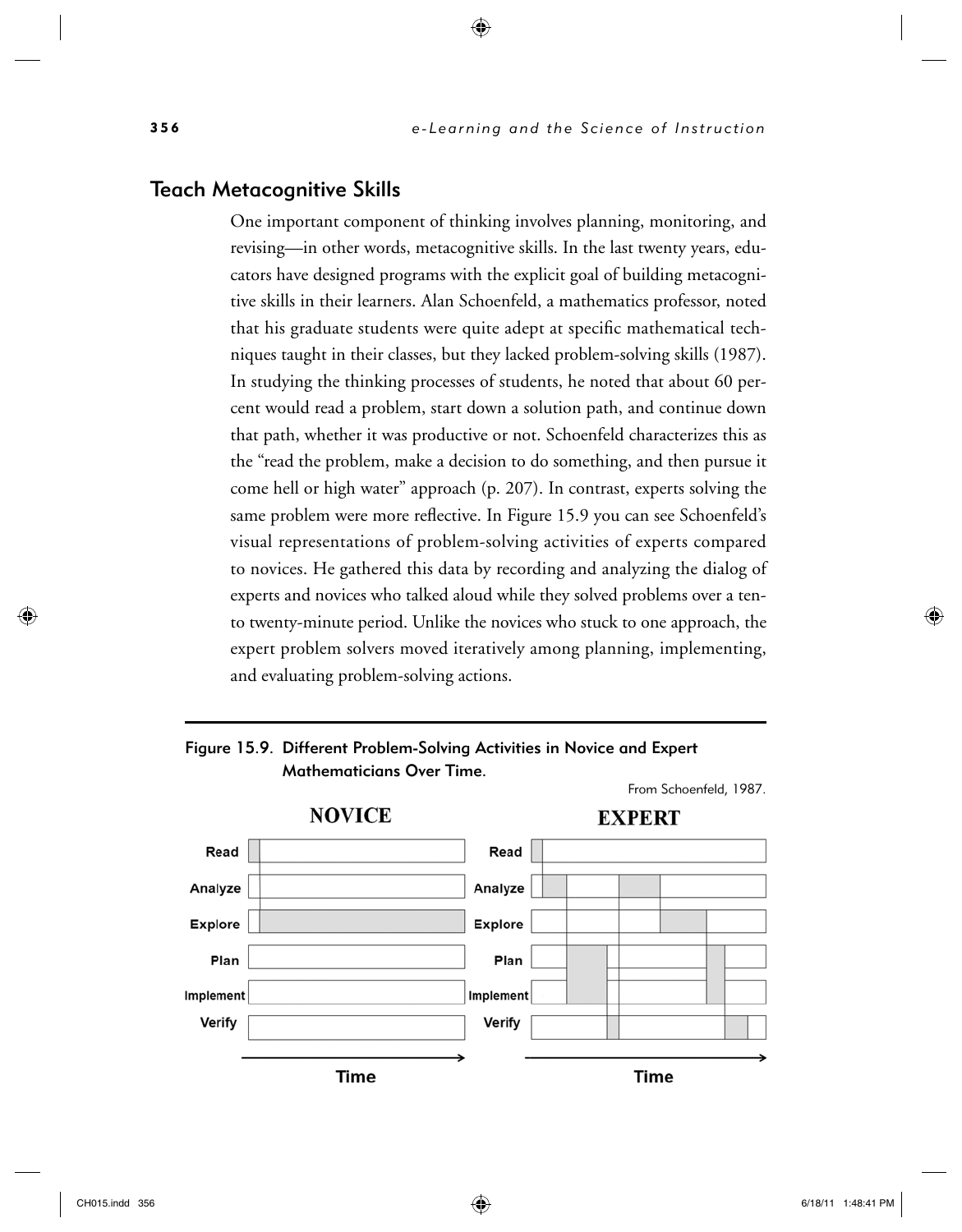#### Teach Metacognitive Skills

One important component of thinking involves planning, monitoring, and revising—in other words, metacognitive skills. In the last twenty years, educators have designed programs with the explicit goal of building metacognitive skills in their learners. Alan Schoenfeld, a mathematics professor, noted that his graduate students were quite adept at specific mathematical techniques taught in their classes, but they lacked problem-solving skills (1987). In studying the thinking processes of students, he noted that about 60 percent would read a problem, start down a solution path, and continue down that path, whether it was productive or not. Schoenfeld characterizes this as the "read the problem, make a decision to do something, and then pursue it come hell or high water" approach (p. 207). In contrast, experts solving the same problem were more reflective. In Figure 15.9 you can see Schoenfeld's visual representations of problem-solving activities of experts compared to novices. He gathered this data by recording and analyzing the dialog of experts and novices who talked aloud while they solved problems over a tento twenty-minute period. Unlike the novices who stuck to one approach, the expert problem solvers moved iteratively among planning, implementing, and evaluating problem-solving actions.

#### Figure 15.9. Different Problem-Solving Activities in Novice and Expert Mathematicians Over Time.



From Schoenfeld, 1987.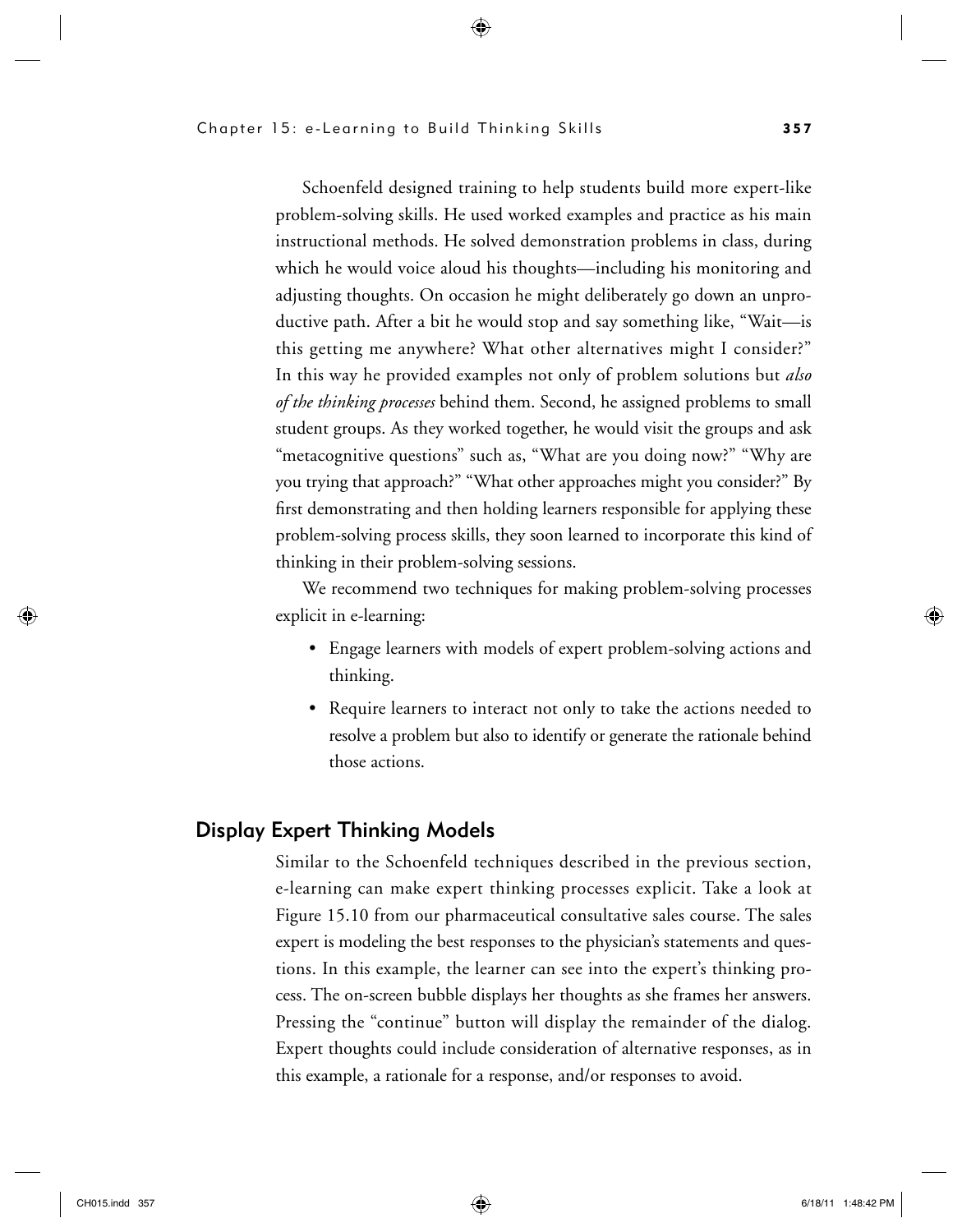Schoenfeld designed training to help students build more expert-like problem-solving skills. He used worked examples and practice as his main instructional methods. He solved demonstration problems in class, during which he would voice aloud his thoughts—including his monitoring and adjusting thoughts. On occasion he might deliberately go down an unproductive path. After a bit he would stop and say something like, "Wait—is this getting me anywhere? What other alternatives might I consider?" In this way he provided examples not only of problem solutions but *also of the thinking processes* behind them. Second, he assigned problems to small student groups. As they worked together, he would visit the groups and ask "metacognitive questions" such as, "What are you doing now?" "Why are you trying that approach?" "What other approaches might you consider?" By first demonstrating and then holding learners responsible for applying these problem-solving process skills, they soon learned to incorporate this kind of thinking in their problem-solving sessions.

We recommend two techniques for making problem-solving processes explicit in e-learning:

- Engage learners with models of expert problem-solving actions and thinking.
- Require learners to interact not only to take the actions needed to resolve a problem but also to identify or generate the rationale behind those actions.

#### Display Expert Thinking Models

Similar to the Schoenfeld techniques described in the previous section, e-learning can make expert thinking processes explicit. Take a look at Figure 15.10 from our pharmaceutical consultative sales course. The sales expert is modeling the best responses to the physician's statements and questions. In this example, the learner can see into the expert's thinking process. The on-screen bubble displays her thoughts as she frames her answers. Pressing the "continue" button will display the remainder of the dialog. Expert thoughts could include consideration of alternative responses, as in this example, a rationale for a response, and/or responses to avoid.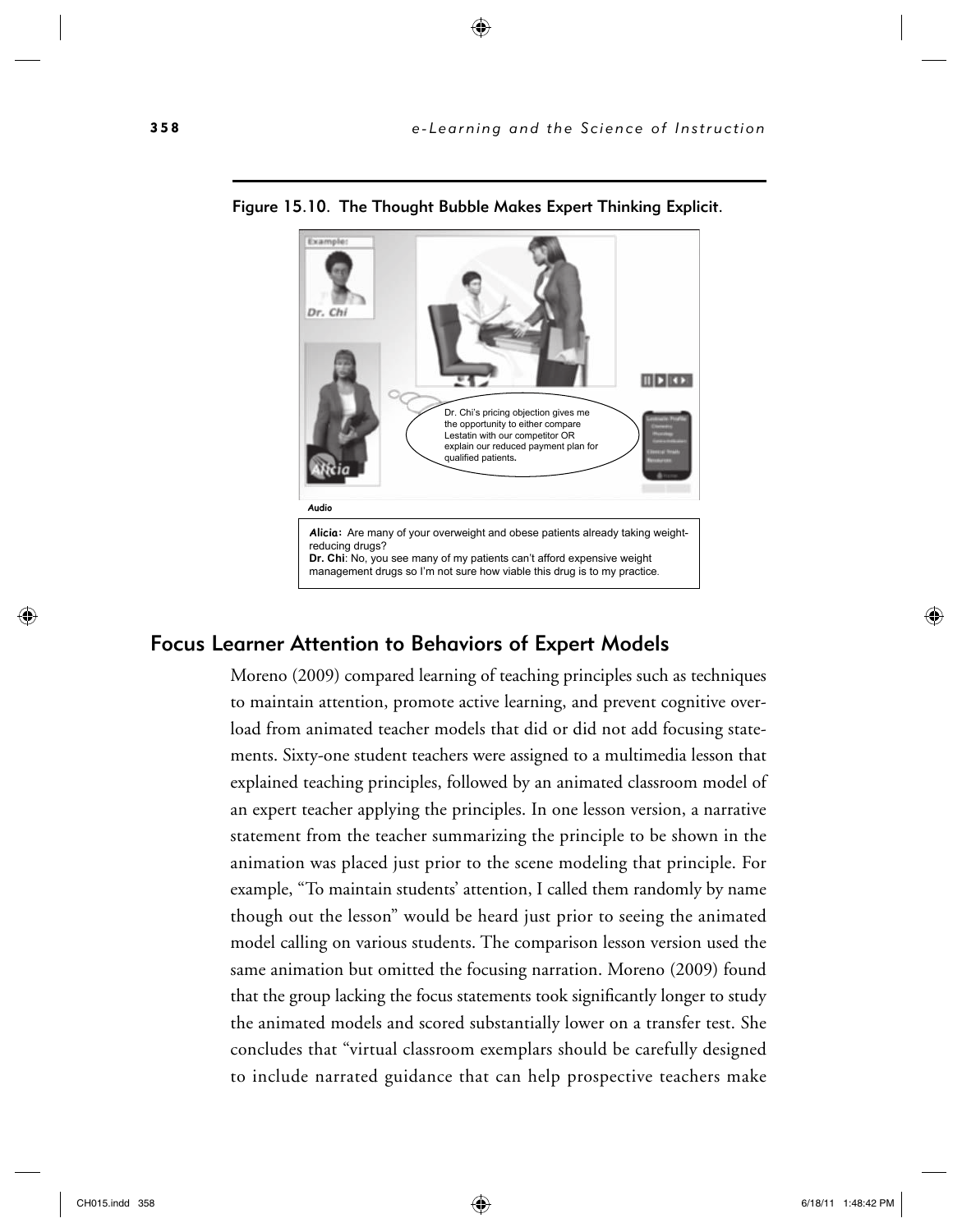

Figure 15.10. The Thought Bubble Makes Expert Thinking Explicit.

#### Focus Learner Attention to Behaviors of Expert Models

Moreno (2009) compared learning of teaching principles such as techniques to maintain attention, promote active learning, and prevent cognitive overload from animated teacher models that did or did not add focusing statements. Sixty-one student teachers were assigned to a multimedia lesson that explained teaching principles, followed by an animated classroom model of an expert teacher applying the principles. In one lesson version, a narrative statement from the teacher summarizing the principle to be shown in the animation was placed just prior to the scene modeling that principle. For example, "To maintain students' attention, I called them randomly by name though out the lesson" would be heard just prior to seeing the animated model calling on various students. The comparison lesson version used the same animation but omitted the focusing narration. Moreno (2009) found that the group lacking the focus statements took significantly longer to study the animated models and scored substantially lower on a transfer test. She concludes that "virtual classroom exemplars should be carefully designed to include narrated guidance that can help prospective teachers make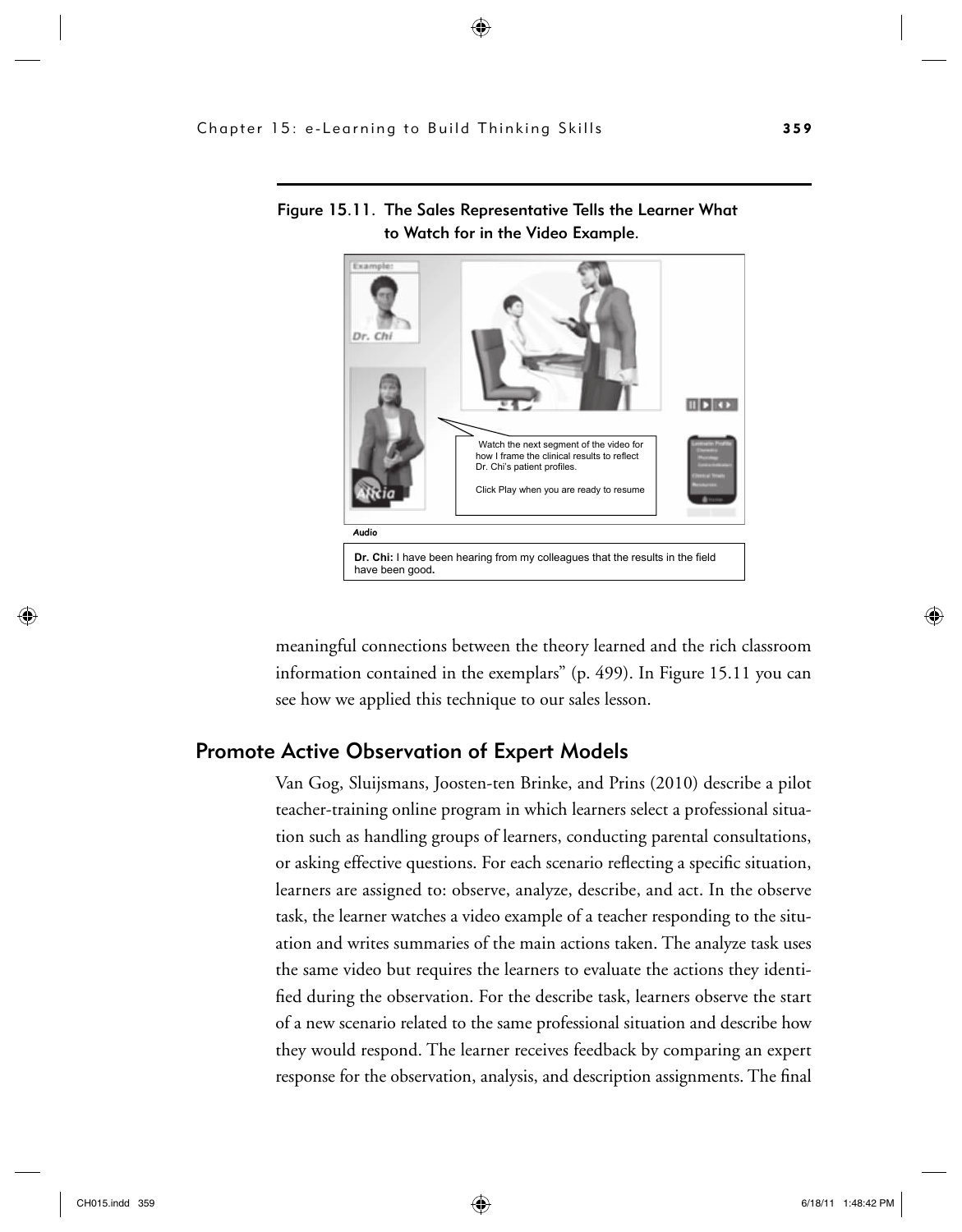

Figure 15.11. The Sales Representative Tells the Learner What to Watch for in the Video Example.

 meaningful connections between the theory learned and the rich classroom information contained in the exemplars" (p. 499). In Figure 15.11 you can see how we applied this technique to our sales lesson.

#### Promote Active Observation of Expert Models

Van Gog, Sluijsmans, Joosten-ten Brinke, and Prins (2010) describe a pilot teacher-training online program in which learners select a professional situation such as handling groups of learners, conducting parental consultations, or asking effective questions. For each scenario reflecting a specific situation, learners are assigned to: observe, analyze, describe, and act. In the observe task, the learner watches a video example of a teacher responding to the situation and writes summaries of the main actions taken. The analyze task uses the same video but requires the learners to evaluate the actions they identified during the observation. For the describe task, learners observe the start of a new scenario related to the same professional situation and describe how they would respond. The learner receives feedback by comparing an expert response for the observation, analysis, and description assignments. The final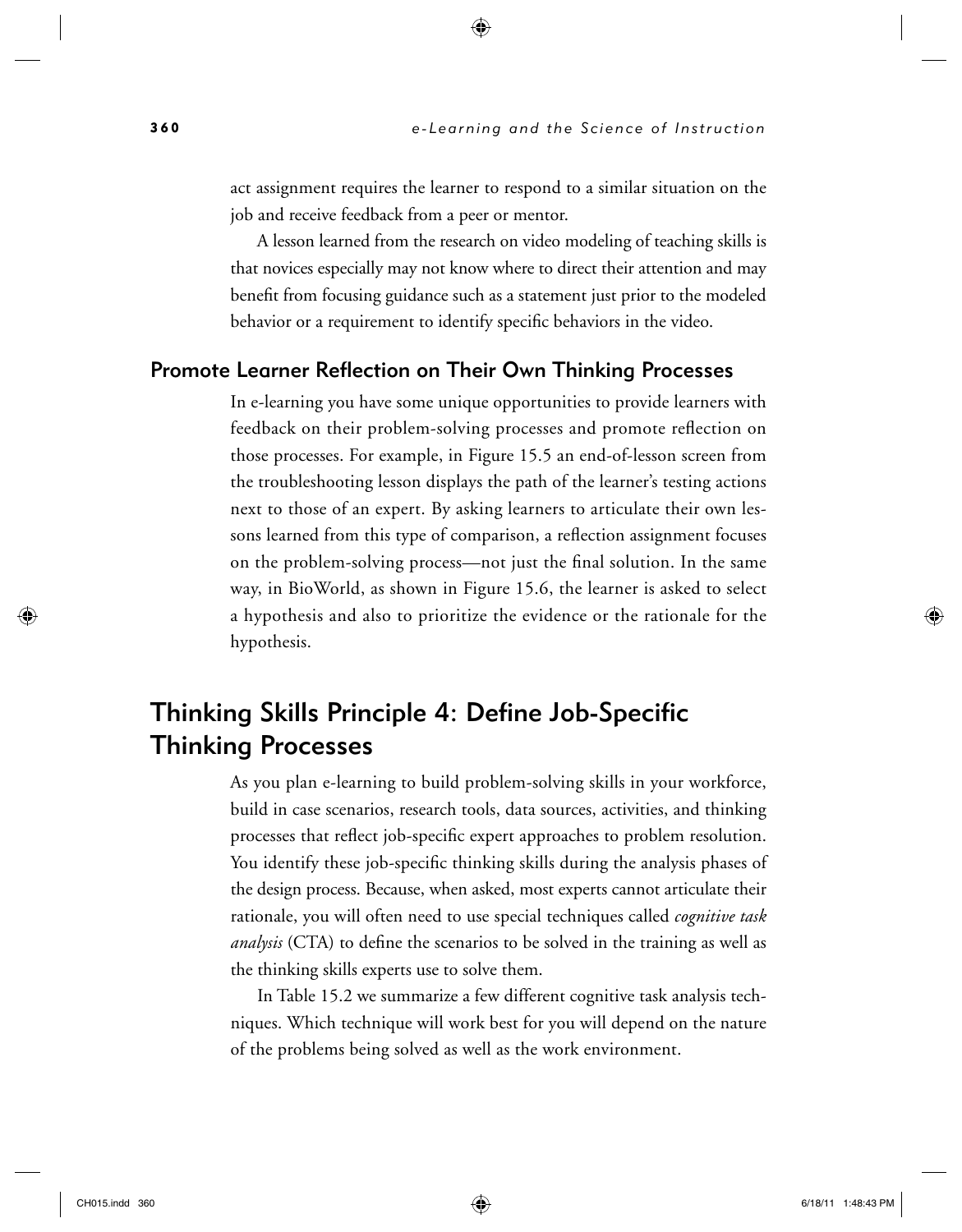act assignment requires the learner to respond to a similar situation on the job and receive feedback from a peer or mentor.

A lesson learned from the research on video modeling of teaching skills is that novices especially may not know where to direct their attention and may benefit from focusing guidance such as a statement just prior to the modeled behavior or a requirement to identify specific behaviors in the video.

## Promote Learner Reflection on Their Own Thinking Processes

In e-learning you have some unique opportunities to provide learners with feedback on their problem-solving processes and promote reflection on those processes. For example, in Figure 15.5 an end-of-lesson screen from the troubleshooting lesson displays the path of the learner's testing actions next to those of an expert. By asking learners to articulate their own lessons learned from this type of comparison, a reflection assignment focuses on the problem-solving process—not just the final solution. In the same way, in BioWorld, as shown in Figure 15.6, the learner is asked to select a hypothesis and also to prioritize the evidence or the rationale for the hypothesis.

# Thinking Skills Principle 4: Define Job-Specific Thinking Processes

As you plan e-learning to build problem-solving skills in your workforce, build in case scenarios, research tools, data sources, activities, and thinking processes that reflect job-specific expert approaches to problem resolution. You identify these job-specific thinking skills during the analysis phases of the design process. Because, when asked, most experts cannot articulate their rationale, you will often need to use special techniques called *cognitive task analysis* (CTA) to define the scenarios to be solved in the training as well as the thinking skills experts use to solve them.

In Table 15.2 we summarize a few different cognitive task analysis techniques. Which technique will work best for you will depend on the nature of the problems being solved as well as the work environment.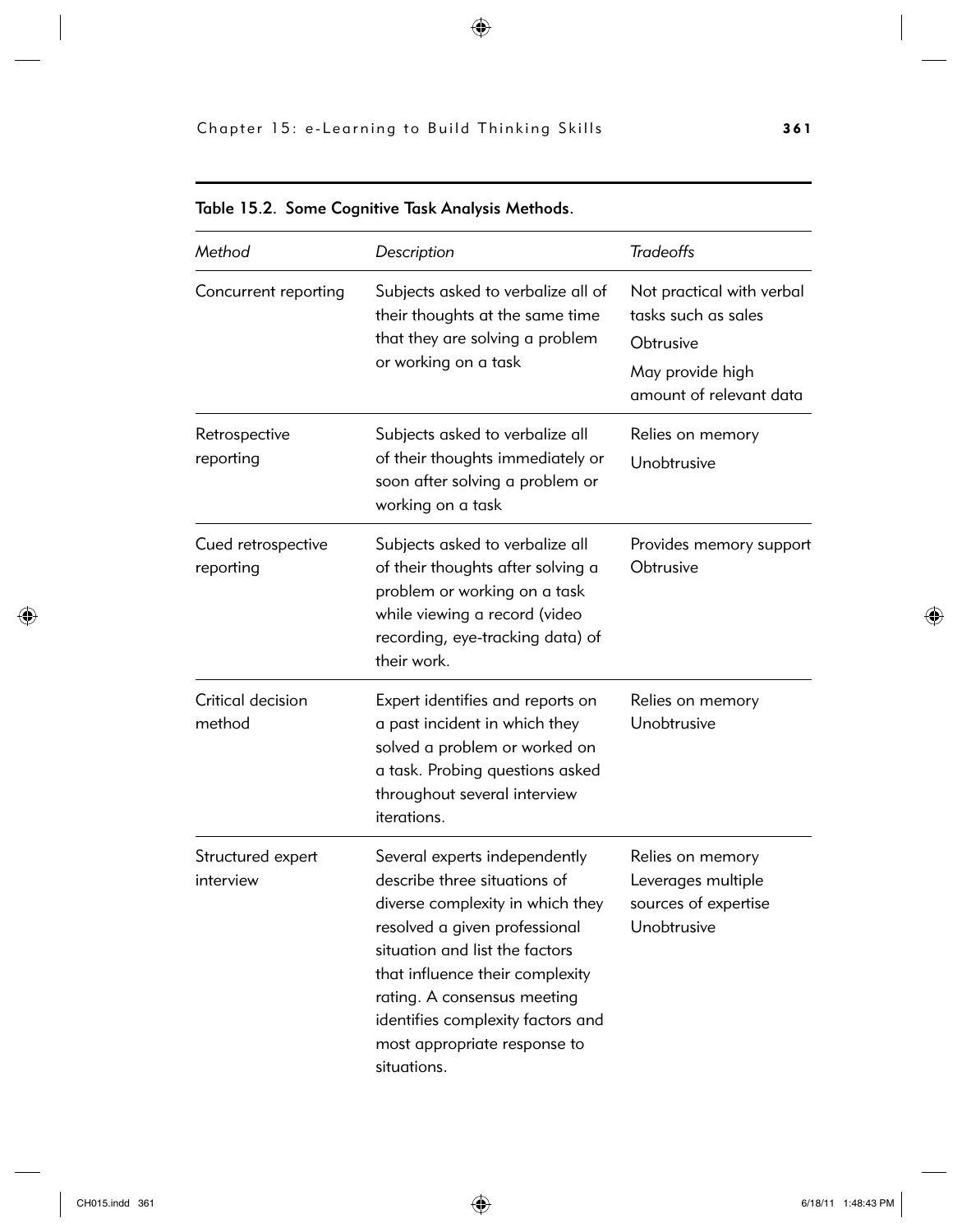| Method                          | Description                                                                                                                                                                                                                                                                                                                | <b>Tradeoffs</b>                                                                                             |
|---------------------------------|----------------------------------------------------------------------------------------------------------------------------------------------------------------------------------------------------------------------------------------------------------------------------------------------------------------------------|--------------------------------------------------------------------------------------------------------------|
| Concurrent reporting            | Subjects asked to verbalize all of<br>their thoughts at the same time<br>that they are solving a problem<br>or working on a task                                                                                                                                                                                           | Not practical with verbal<br>tasks such as sales<br>Obtrusive<br>May provide high<br>amount of relevant data |
| Retrospective<br>reporting      | Subjects asked to verbalize all<br>of their thoughts immediately or<br>soon after solving a problem or<br>working on a task                                                                                                                                                                                                | Relies on memory<br>Unobtrusive                                                                              |
| Cued retrospective<br>reporting | Subjects asked to verbalize all<br>of their thoughts after solving a<br>problem or working on a task<br>while viewing a record (video<br>recording, eye-tracking data) of<br>their work.                                                                                                                                   | Provides memory support<br>Obtrusive                                                                         |
| Critical decision<br>method     | Expert identifies and reports on<br>a past incident in which they<br>solved a problem or worked on<br>a task. Probing questions asked<br>throughout several interview<br>iterations.                                                                                                                                       | Relies on memory<br>Unobtrusive                                                                              |
| Structured expert<br>interview  | Several experts independently<br>describe three situations of<br>diverse complexity in which they<br>resolved a given professional<br>situation and list the factors<br>that influence their complexity<br>rating. A consensus meeting<br>identifies complexity factors and<br>most appropriate response to<br>situations. | Relies on memory<br>Leverages multiple<br>sources of expertise<br>Unobtrusive                                |

#### Table 15.2. Some Cognitive Task Analysis Methods.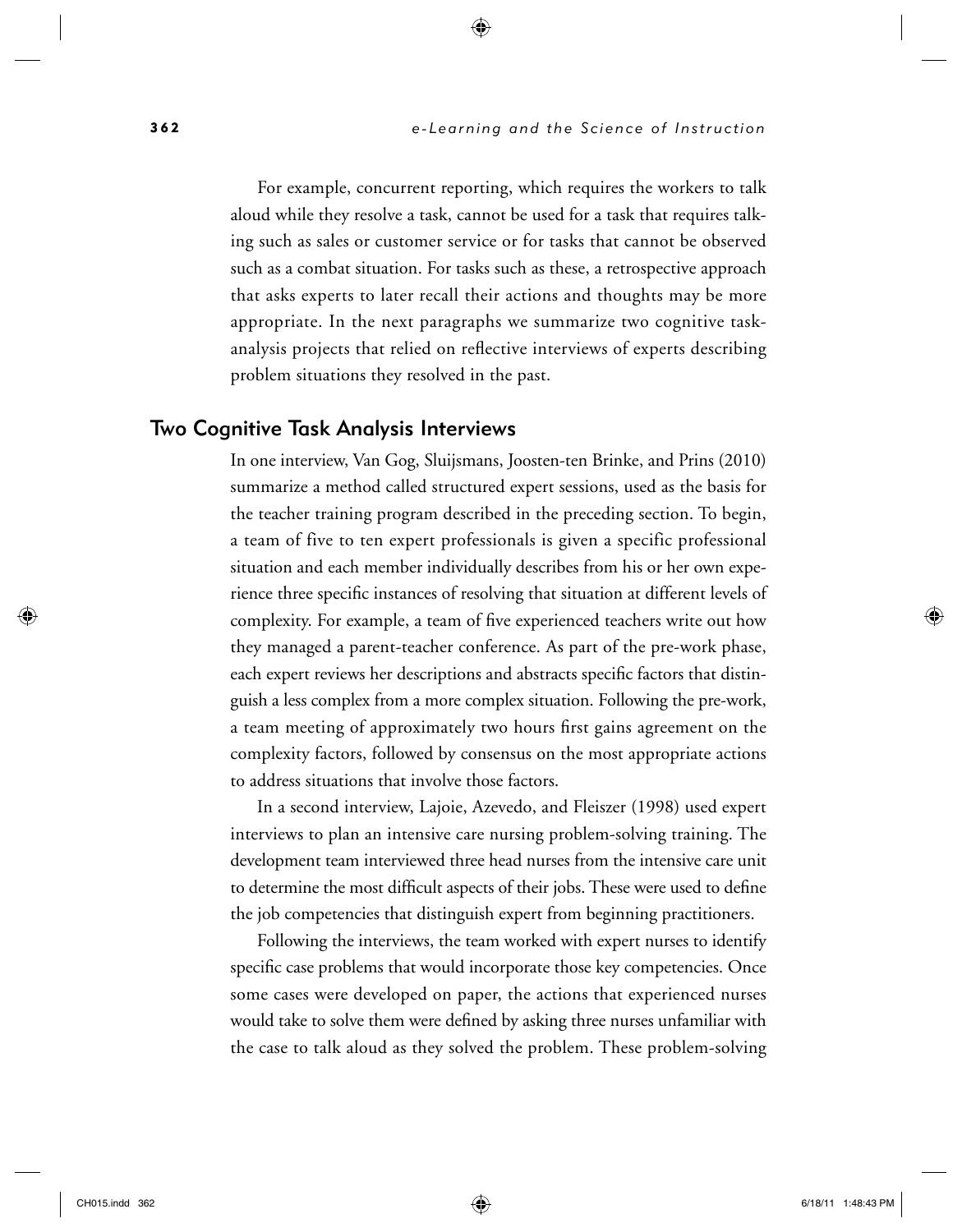For example, concurrent reporting, which requires the workers to talk aloud while they resolve a task, cannot be used for a task that requires talking such as sales or customer service or for tasks that cannot be observed such as a combat situation. For tasks such as these, a retrospective approach that asks experts to later recall their actions and thoughts may be more appropriate. In the next paragraphs we summarize two cognitive taskanalysis projects that relied on reflective interviews of experts describing problem situations they resolved in the past.

#### Two Cognitive Task Analysis Interviews

In one interview, Van Gog, Sluijsmans, Joosten-ten Brinke, and Prins (2010) summarize a method called structured expert sessions, used as the basis for the teacher training program described in the preceding section. To begin, a team of five to ten expert professionals is given a specific professional situation and each member individually describes from his or her own experience three specific instances of resolving that situation at different levels of complexity. For example, a team of five experienced teachers write out how they managed a parent-teacher conference. As part of the pre-work phase, each expert reviews her descriptions and abstracts specific factors that distinguish a less complex from a more complex situation. Following the pre-work, a team meeting of approximately two hours first gains agreement on the complexity factors, followed by consensus on the most appropriate actions to address situations that involve those factors.

In a second interview, Lajoie, Azevedo, and Fleiszer (1998) used expert interviews to plan an intensive care nursing problem-solving training. The development team interviewed three head nurses from the intensive care unit to determine the most difficult aspects of their jobs. These were used to define the job competencies that distinguish expert from beginning practitioners.

Following the interviews, the team worked with expert nurses to identify specific case problems that would incorporate those key competencies. Once some cases were developed on paper, the actions that experienced nurses would take to solve them were defined by asking three nurses unfamiliar with the case to talk aloud as they solved the problem. These problem- solving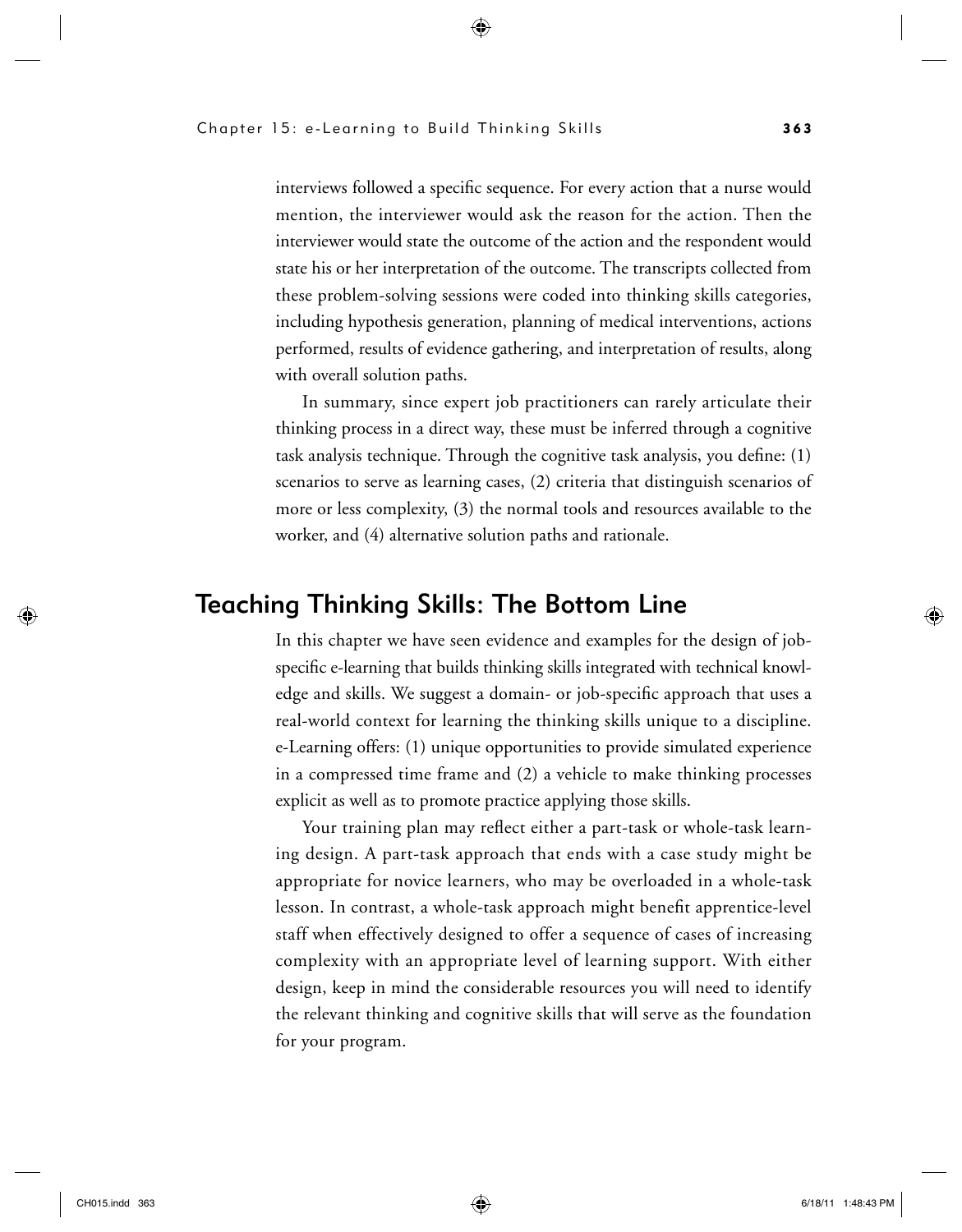interviews followed a specific sequence. For every action that a nurse would mention, the interviewer would ask the reason for the action. Then the interviewer would state the outcome of the action and the respondent would state his or her interpretation of the outcome. The transcripts collected from these problem-solving sessions were coded into thinking skills categories, including hypothesis generation, planning of medical interventions, actions performed, results of evidence gathering, and interpretation of results, along with overall solution paths.

In summary, since expert job practitioners can rarely articulate their thinking process in a direct way, these must be inferred through a cognitive task analysis technique. Through the cognitive task analysis, you define:  $(1)$ scenarios to serve as learning cases, (2) criteria that distinguish scenarios of more or less complexity, (3) the normal tools and resources available to the worker, and (4) alternative solution paths and rationale.

## Teaching Thinking Skills: The Bottom Line

In this chapter we have seen evidence and examples for the design of jobspecific e-learning that builds thinking skills integrated with technical knowledge and skills. We suggest a domain- or job-specific approach that uses a real-world context for learning the thinking skills unique to a discipline. e-Learning offers: (1) unique opportunities to provide simulated experience in a compressed time frame and (2) a vehicle to make thinking processes explicit as well as to promote practice applying those skills.

Your training plan may reflect either a part-task or whole-task learning design. A part-task approach that ends with a case study might be appropriate for novice learners, who may be overloaded in a whole-task lesson. In contrast, a whole-task approach might benefit apprentice-level staff when effectively designed to offer a sequence of cases of increasing complexity with an appropriate level of learning support. With either design, keep in mind the considerable resources you will need to identify the relevant thinking and cognitive skills that will serve as the foundation for your program.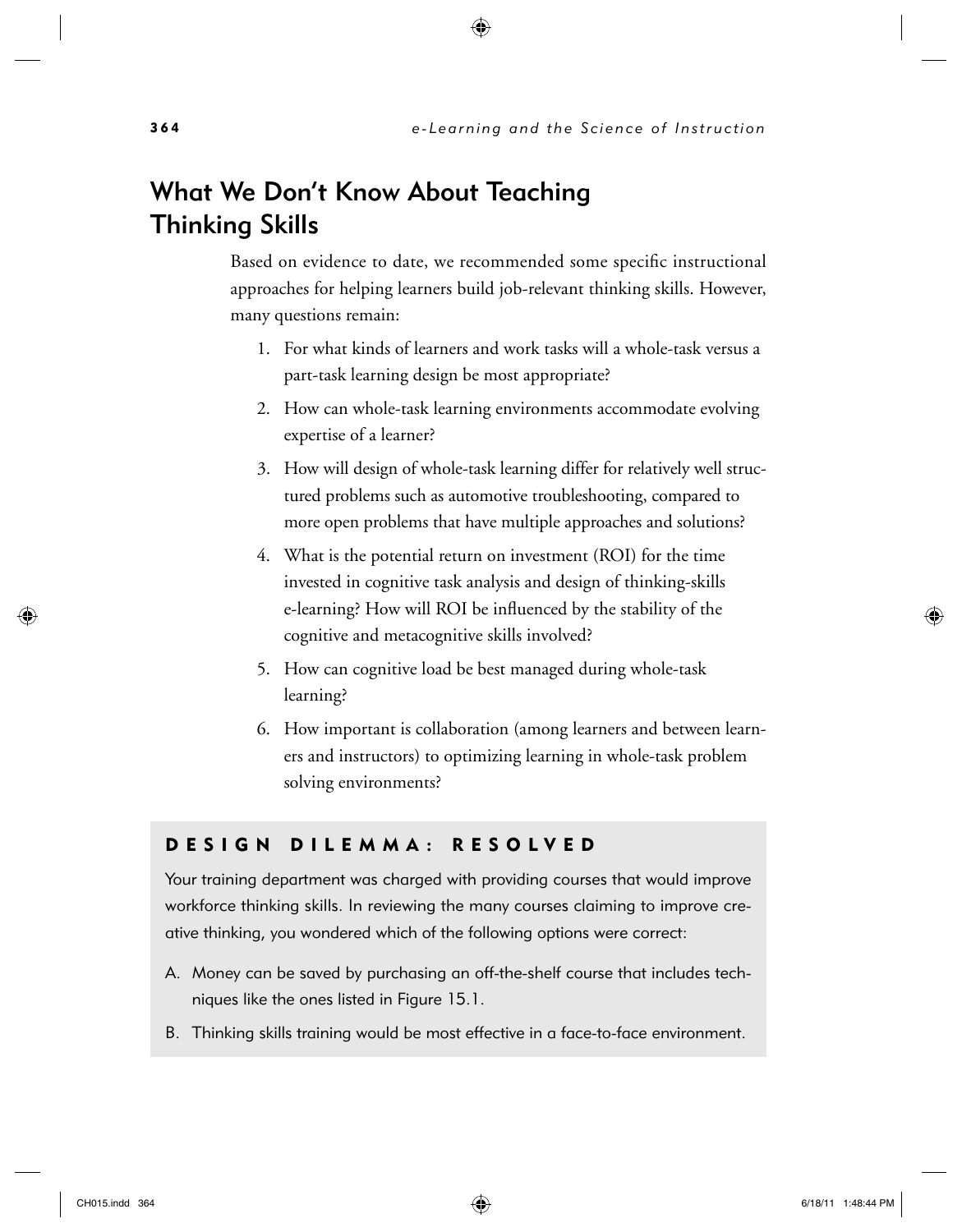# What We Don't Know About Teaching Thinking Skills

Based on evidence to date, we recommended some specific instructional approaches for helping learners build job-relevant thinking skills. However, many questions remain:

- 1. For what kinds of learners and work tasks will a whole-task versus a part-task learning design be most appropriate?
- 2. How can whole-task learning environments accommodate evolving expertise of a learner?
- 3. How will design of whole-task learning differ for relatively well structured problems such as automotive troubleshooting, compared to more open problems that have multiple approaches and solutions?
- 4. What is the potential return on investment (ROI) for the time invested in cognitive task analysis and design of thinking-skills e-learning? How will ROI be influenced by the stability of the cognitive and metacognitive skills involved?
- 5. How can cognitive load be best managed during whole-task learning?
- 6. How important is collaboration (among learners and between learners and instructors) to optimizing learning in whole-task problem solving environments?

#### DESIGN DILEMMA: RESOLVED

Your training department was charged with providing courses that would improve workforce thinking skills. In reviewing the many courses claiming to improve creative thinking, you wondered which of the following options were correct:

- A. Money can be saved by purchasing an off-the-shelf course that includes techniques like the ones listed in Figure 15.1.
- B. Thinking skills training would be most effective in a face-to-face environment.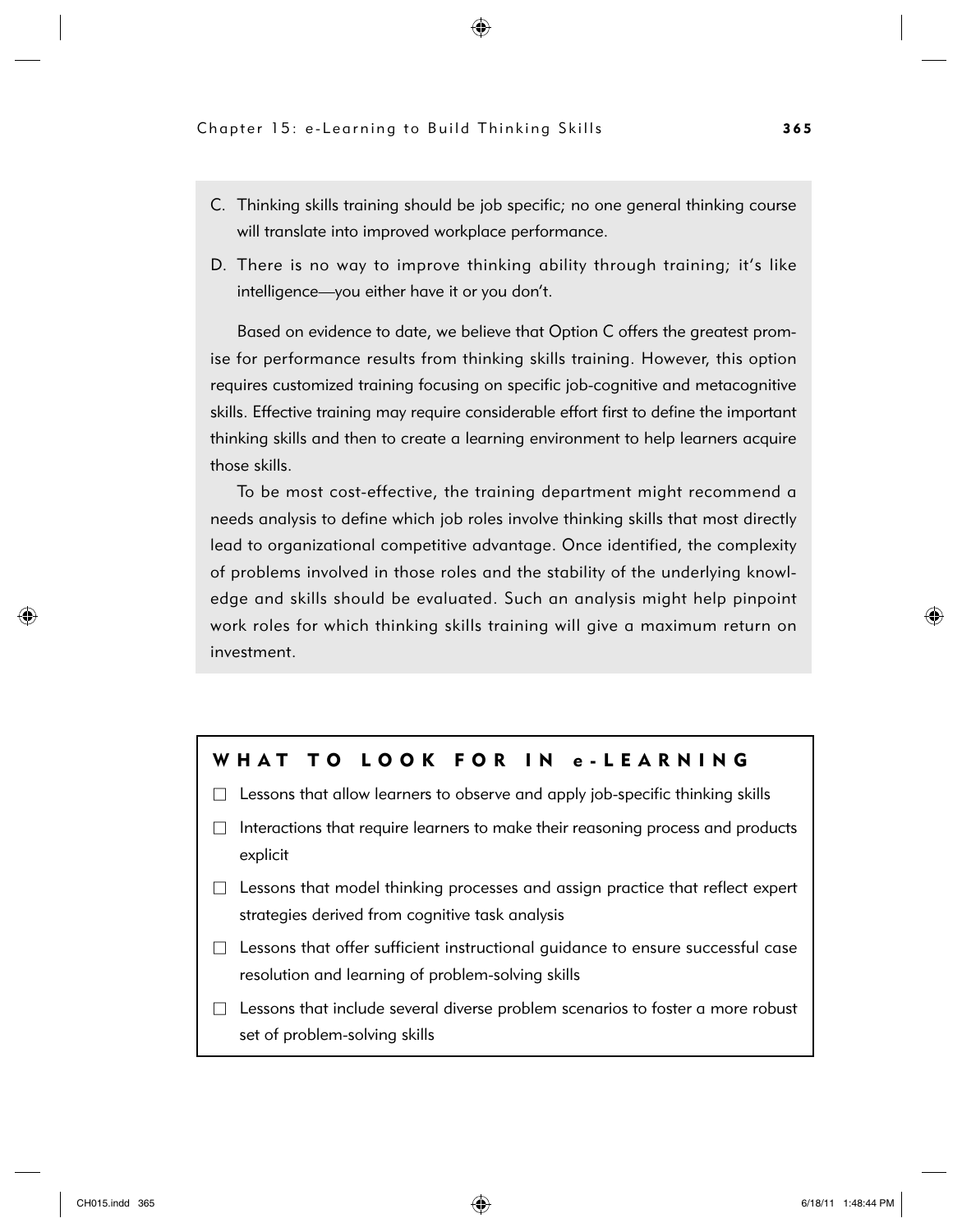- C. Thinking skills training should be job specific; no one general thinking course will translate into improved workplace performance.
- D. There is no way to improve thinking ability through training; it's like intelligence—you either have it or you don't.

Based on evidence to date, we believe that Option C offers the greatest promise for performance results from thinking skills training. However, this option requires customized training focusing on specific job-cognitive and metacognitive skills. Effective training may require considerable effort first to define the important thinking skills and then to create a learning environment to help learners acquire those skills.

To be most cost-effective, the training department might recommend a needs analysis to define which job roles involve thinking skills that most directly lead to organizational competitive advantage. Once identified, the complexity of problems involved in those roles and the stability of the underlying knowledge and skills should be evaluated. Such an analysis might help pinpoint work roles for which thinking skills training will give a maximum return on investment.

#### WHAT TO LOOK FOR IN e-LEARNING

- $\Box$  Lessons that allow learners to observe and apply job-specific thinking skills
- $\Box$  Interactions that require learners to make their reasoning process and products explicit
- $\Box$  Lessons that model thinking processes and assign practice that reflect expert strategies derived from cognitive task analysis
- $\Box$  Lessons that offer sufficient instructional guidance to ensure successful case resolution and learning of problem-solving skills
- $\Box$  Lessons that include several diverse problem scenarios to foster a more robust set of problem-solving skills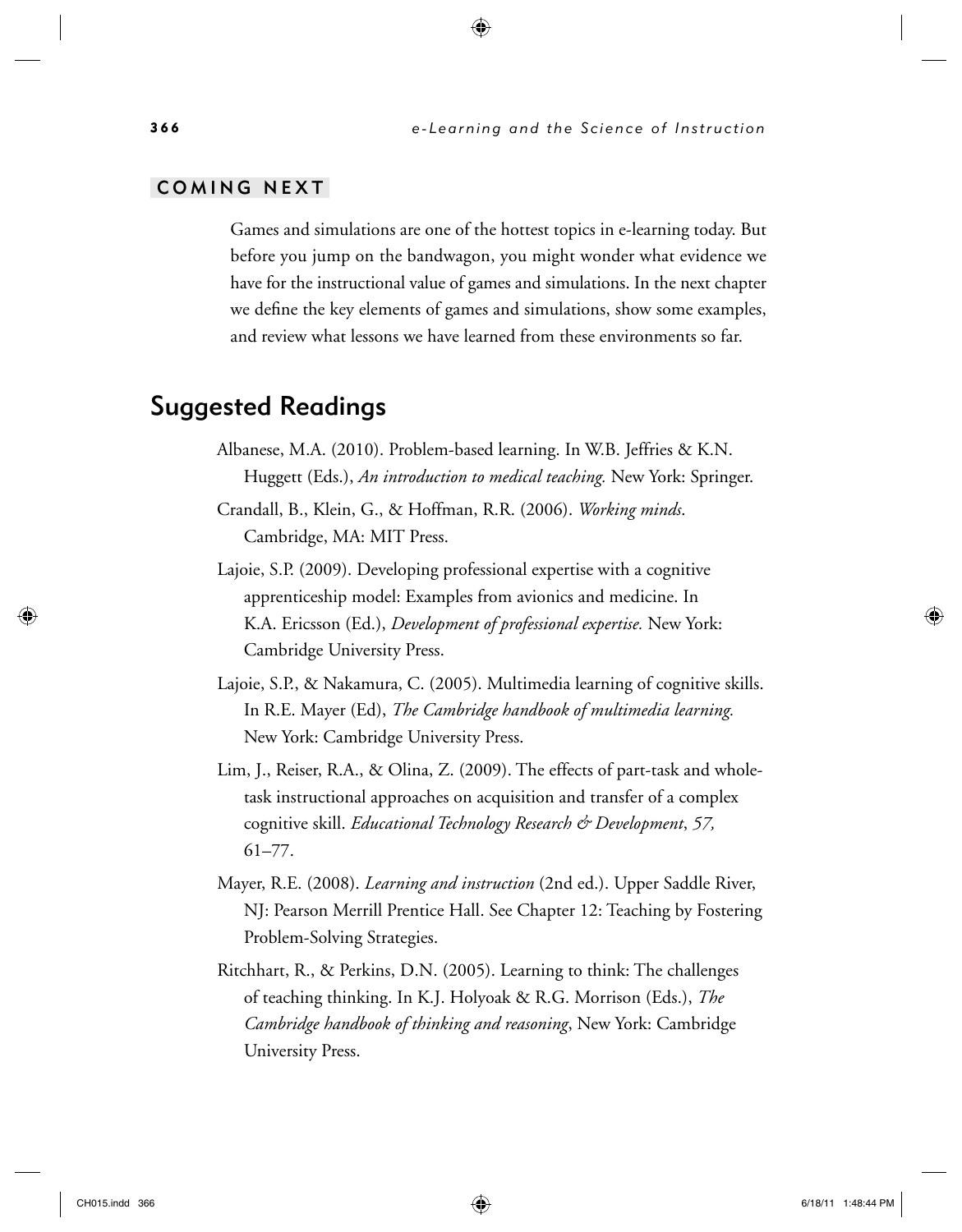#### COMING NEXT

Games and simulations are one of the hottest topics in e-learning today. But before you jump on the bandwagon, you might wonder what evidence we have for the instructional value of games and simulations. In the next chapter we define the key elements of games and simulations, show some examples, and review what lessons we have learned from these environments so far.

## Suggested Readings

- Albanese, M.A. (2010). Problem-based learning. In W.B. Jeffries & K.N. Huggett (Eds.), *An introduction to medical teaching.* New York: Springer.
- Crandall, B., Klein, G., & Hoffman, R.R. (2006). *Working minds*. Cambridge, MA: MIT Press.
- Lajoie, S.P. (2009). Developing professional expertise with a cognitive apprenticeship model: Examples from avionics and medicine. In K.A. Ericsson (Ed.), *Development of professional expertise.* New York: Cambridge University Press.
- Lajoie, S.P., & Nakamura, C. (2005). Multimedia learning of cognitive skills. In R.E. Mayer (Ed), *The Cambridge handbook of multimedia learning.* New York: Cambridge University Press.
- Lim, J., Reiser, R.A., & Olina, Z. (2009). The effects of part-task and wholetask instructional approaches on acquisition and transfer of a complex cognitive skill. *Educational Technology Research & Development*, *57,* 61–77.
- Mayer, R.E. (2008). *Learning and instruction* (2nd ed.). Upper Saddle River, NJ: Pearson Merrill Prentice Hall. See Chapter 12: Teaching by Fostering Problem-Solving Strategies.
- Ritchhart, R., & Perkins, D.N. (2005). Learning to think: The challenges of teaching thinking. In K.J. Holyoak & R.G. Morrison (Eds.), *The Cambridge handbook of thinking and reasoning*, New York: Cambridge University Press.